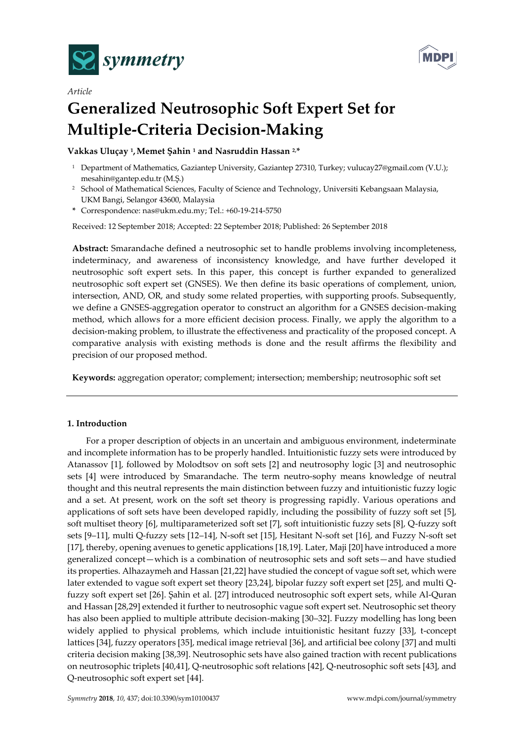

*Article*



# **Generalized Neutrosophic Soft Expert Set for Multiple-Criteria Decision-Making**

**Vakkas Uluçay <sup>1</sup> ,Memet Şahin <sup>1</sup> and Nasruddin Hassan 2,\***

- <sup>1</sup> Department of Mathematics, Gaziantep University, Gaziantep 27310, Turkey; vulucay27@gmail.com (V.U.); [mesahin@gantep.edu.tr](mailto:mesahin@gantep.edu.tr) (M.Ş.)
- <sup>2</sup> School of Mathematical Sciences, Faculty of Science and Technology, Universiti Kebangsaan Malaysia, UKM Bangi, Selangor 43600, Malaysia
- **\*** Correspondence: nas@ukm.edu.my; Tel.: +60-19-214-5750

Received: 12 September 2018; Accepted: 22 September 2018; Published: 26 September 2018

**Abstract:** Smarandache defined a neutrosophic set to handle problems involving incompleteness, indeterminacy, and awareness of inconsistency knowledge, and have further developed it neutrosophic soft expert sets. In this paper, this concept is further expanded to generalized neutrosophic soft expert set (GNSES). We then define its basic operations of complement, union, intersection, AND, OR, and study some related properties, with supporting proofs. Subsequently, we define a GNSES-aggregation operator to construct an algorithm for a GNSES decision-making method, which allows for a more efficient decision process. Finally, we apply the algorithm to a decision-making problem, to illustrate the effectiveness and practicality of the proposed concept. A comparative analysis with existing methods is done and the result affirms the flexibility and precision of our proposed method.

**Keywords:** aggregation operator; complement; intersection; membership; neutrosophic soft set

# **1. Introduction**

For a proper description of objects in an uncertain and ambiguous environment, indeterminate and incomplete information has to be properly handled. Intuitionistic fuzzy sets were introduced by Atanassov [1], followed by Molodtsov on soft sets [2] and neutrosophy logic [3] and neutrosophic sets [4] were introduced by Smarandache. The term neutro-sophy means knowledge of neutral thought and this neutral represents the main distinction between fuzzy and intuitionistic fuzzy logic and a set. At present, work on the soft set theory is progressing rapidly. Various operations and applications of soft sets have been developed rapidly, including the possibility of fuzzy soft set [5], soft multiset theory [6], multiparameterized soft set [7], soft intuitionistic fuzzy sets [8], Q-fuzzy soft sets [9–11], multi Q-fuzzy sets [12–14], N-soft set [15], Hesitant N-soft set [16], and Fuzzy N-soft set [17], thereby, opening avenues to genetic applications [18,19]. Later, Maji [20] have introduced a more generalized concept—which is a combination of neutrosophic sets and soft sets—and have studied its properties. Alhazaymeh and Hassan [21,22] have studied the concept of vague soft set, which were later extended to vague soft expert set theory [23,24], bipolar fuzzy soft expert set [25], and multi Qfuzzy soft expert set [26]. Şahin et al. [27] introduced neutrosophic soft expert sets, while Al-Quran and Hassan [28,29] extended it further to neutrosophic vague soft expert set. Neutrosophic set theory has also been applied to multiple attribute decision-making [30–32]. Fuzzy modelling has long been widely applied to physical problems, which include intuitionistic hesitant fuzzy [33], t-concept lattices [34], fuzzy operators [35], medical image retrieval [36], and artificial bee colony [37] and multi criteria decision making [38,39]. Neutrosophic sets have also gained traction with recent publications on neutrosophic triplets [40,41], Q-neutrosophic soft relations [42], Q-neutrosophic soft sets [43], and Q-neutrosophic soft expert set [44].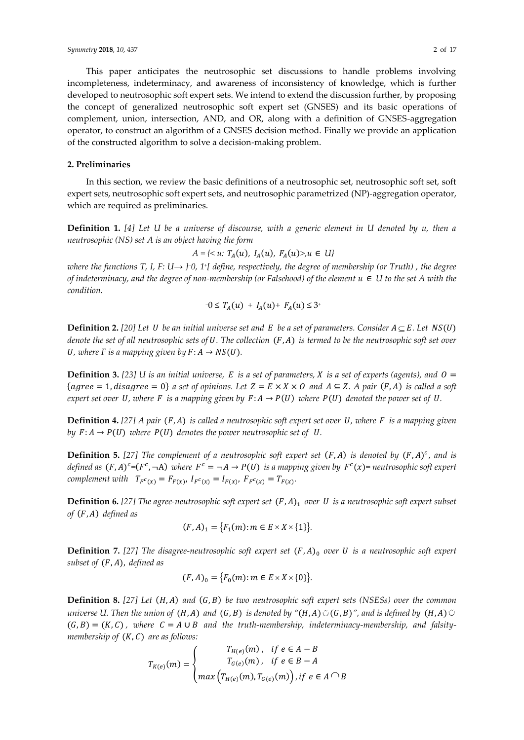#### **2. Preliminaries**

In this section, we review the basic definitions of a neutrosophic set, neutrosophic soft set, soft expert sets, neutrosophic soft expert sets, and neutrosophic parametrized (NP)-aggregation operator, which are required as preliminaries.

**Definition 1.** *[4] Let U be a universe of discourse, with a generic element in U denoted by u, then a neutrosophic (NS) set A is an object having the form*

 $A = \{ \langle u : T_A(u), I_A(u), F_A(u) \rangle, u \in U \}$ 

*where the functions T, I, F: U→ ] <sup>−</sup>0, 1<sup>+</sup> [ define, respectively, the degree of membership (or Truth) , the degree of indeterminacy, and the degree of non-membership (or Falsehood) of the element*  $u \in U$  *to the set A with the condition.*

$$
-0 \leq T_A(u) + I_A(u) + F_A(u) \leq 3^+
$$

**Definition 2.** [20] Let U be an initial universe set and E be a set of parameters. Consider  $A \subseteq E$ . Let  $NS(U)$ *denote the set of all neutrosophic sets of U. The collection*  $(F, A)$  *is termed to be the neutrosophic soft set over U*, where *F* is a mapping given by  $F: A \rightarrow NS(U)$ .

**Definition 3.** [23] *U* is an initial universe, *E* is a set of parameters, *X* is a set of experts (agents), and  $0 =$  ${ \{agree = 1, disagree = 0 \} }$  *a set of opinions. Let*  $Z = E \times X \times O$  *and*  $A \subseteq Z$ . A pair  $(F, A)$  *is called a soft expert set over U, where F is a mapping given by*  $F: A \rightarrow P(U)$  *where*  $P(U)$  *denoted the power set of U.* 

**Definition 4.** [27] *A pair*  $(F, A)$  *is called a neutrosophic soft expert set over*  $U$ *, where*  $F$  *<i>is a mapping given by*  $F: A \rightarrow P(U)$  *where*  $P(U)$  *denotes the power neutrosophic set of U*.

**Definition 5.** [27] The complement of a neutrosophic soft expert set  $(F, A)$  is denoted by  $(F, A)^c$ , and is *defined as*  $(F, A)^c = (F^c, \neg A)$  where  $F^c = \neg A \rightarrow P(U)$  is a mapping given by  $F^c(x) =$  neutrosophic soft expert complement with  $T_{F^c(x)} = F_{F(x)}$ ,  $I_{F^c(x)} = I_{F(x)}$ ,  $F_{F^c(x)} = T_{F(x)}$ .

**Definition 6.** [27] The agree-neutrosophic soft expert set  $(F, A)_1$  over U is a neutrosophic soft expert subset *of*  $(F, A)$  *defined as* 

$$
(F, A)_1 = \{F_1(m) : m \in E \times X \times \{1\}\}.
$$

**Definition 7.** [27] The disagree-neutrosophic soft expert set  $(F, A)_0$  over U is a neutrosophic soft expert *subset of*  $(F, A)$ *, defined as* 

$$
(F, A)_0 = \{F_0(m) : m \in E \times X \times \{0\}\}.
$$

**Definition 8.** [27] Let  $(H, A)$  and  $(G, B)$  be two neutrosophic soft expert sets (NSESs) over the common universe U. Then the union of  $(H, A)$  and  $(G, B)$  is denoted by " $(H, A)$   $\circ$   $(G, B)$  ", and is defined by  $\ (H, A)$   $\circ$  $(G, B) = (K, C)$ , where  $C = A \cup B$  and the truth-membership, indeterminacy-membership, and falsity*membership of*  $(K, C)$  *are as follows:* 

$$
T_{K(e)}(m) = \begin{cases} T_{H(e)}(m), & \text{if } e \in A - B \\ T_{G(e)}(m), & \text{if } e \in B - A \\ max\left(T_{H(e)}(m), T_{G(e)}(m)\right), \text{if } e \in A \cap B \end{cases}
$$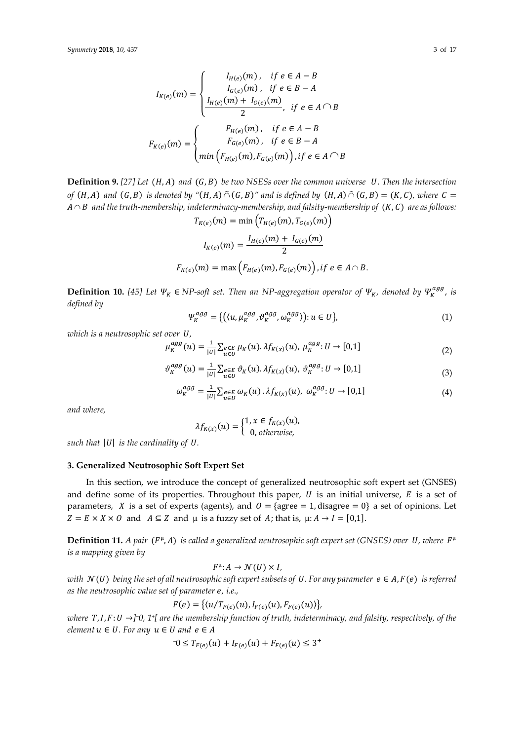$$
I_{K(e)}(m) = \begin{cases} I_{H(e)}(m), & \text{if } e \in A - B \\ I_{G(e)}(m), & \text{if } e \in B - A \\ \frac{I_{H(e)}(m) + I_{G(e)}(m)}{2}, & \text{if } e \in A \cap B \end{cases}
$$

$$
F_{K(e)}(m) = \begin{cases} F_{H(e)}(m), & \text{if } e \in A - B \\ F_{G(e)}(m), & \text{if } e \in B - A \\ \min \left( F_{H(e)}(m), F_{G(e)}(m) \right), & \text{if } e \in A \cap B \end{cases}
$$

**Definition 9.** [27] Let  $(H, A)$  and  $(G, B)$  be two NSESs over the common universe U. Then the intersection of  $(H,A)$  and  $(G,B)$  is denoted by " $(H,A)\,\tilde{\cap}\,(G,B)$ " and is defined by  $\,(H,A)\,\tilde{\cap}\,(G,B) = (K,C),$  where  $\,\mathcal{C} =$  $A \cap B\;$  and the truth-membership, indeterminacy-membership, and falsity-membership of  $\,$   $(K, \mathcal{C})\,$  are as follows:  $T_{\alpha}(\infty(m) = \min\left(T_{\alpha}(\infty(m), T_{\alpha}(\infty(m))\right))$ 

$$
I_{K(e)}(m) = \min\left(I_{H(e)}(m), I_{G(e)}(m)\right)
$$

$$
I_{K(e)}(m) = \frac{I_{H(e)}(m) + I_{G(e)}(m)}{2}
$$

$$
F_{K(e)}(m) = \max\left(F_{H(e)}(m), F_{G(e)}(m)\right), \text{if } e \in A \cap B.
$$

**Definition 10.** [45] Let  $\Psi_K \in NP$ -soft set. Then an NP-aggregation operator of  $\Psi_K$ , denoted by  $\Psi_K^{agg}$ , is *defined by*

$$
\Psi_K^{agg} = \{ \left( \langle u, \mu_K^{agg}, \vartheta_K^{agg}, \omega_K^{agg} \rangle \right) : u \in U \},\tag{1}
$$

*which is a neutrosophic set over U*,

$$
\mu_K^{agg}(u) = \frac{1}{|U|} \sum_{u \in U} e_{\text{E}} \mu_K(u) . \lambda f_{K(x)}(u), \ \mu_K^{agg} : U \to [0,1] \tag{2}
$$

$$
\vartheta_K^{agg}(u) = \frac{1}{|U|} \sum_{u \in U} e_{\in E} \vartheta_K(u) \cdot \lambda f_{K(x)}(u), \ \vartheta_K^{agg} : U \to [0,1]
$$
 (3)

$$
\omega_K^{agg} = \frac{1}{|U|} \sum_{u \in U} e_{\in E} \omega_K(u) \cdot \lambda f_{K(x)}(u), \ \omega_K^{agg} : U \to [0,1]
$$
 (4)

*and where,*

$$
\lambda f_{K(x)}(u) = \begin{cases} 1, x \in f_{K(x)}(u), \\ 0, \text{ otherwise,} \end{cases}
$$

*such that*  $|U|$  *is the cardinality of U.* 

## **3. Generalized Neutrosophic Soft Expert Set**

In this section, we introduce the concept of generalized neutrosophic soft expert set (GNSES) and define some of its properties. Throughout this paper,  $U$  is an initial universe,  $E$  is a set of parameters, *X* is a set of experts (agents), and  $0 = \{$ agree = 1, disagree = 0} a set of opinions. Let  $Z = E \times X \times 0$  and  $A \subseteq Z$  and  $\mu$  is a fuzzy set of A; that is,  $\mu: A \rightarrow I = [0,1]$ .

**Definition 11.** *A pair* ( $F^{\mu}$ , *A*) is called a generalized neutrosophic soft expert set (GNSES) over U, where  $F^{\mu}$ *is a mapping given by*

 $F^{\mu}: A \rightarrow \mathcal{N}(U) \times I$ ,

*with*  $\mathcal{N}(U)$  *being the set of all neutrosophic soft expert subsets of U. For any parameter*  $e \in A$ *,*  $F(e)$  *is referred as the neutrosophic value set of parameter e, i.e.,* 

$$
F(e) = \{(u/T_{F(e)}(u), I_{F(e)}(u), F_{F(e)}(u))\},\
$$

 $where\,$  **7** ,  $I$  ,  $F$  :  $U$  → ]<sup>−</sup>0, 1<sup>.</sup>[ are the membership function of truth, indeterminacy, and falsity, respectively, of the  $element u \in U$ . For any  $u \in U$  and  $e \in A$ 

$$
-0 \le T_{F(e)}(u) + I_{F(e)}(u) + F_{F(e)}(u) \le 3^+
$$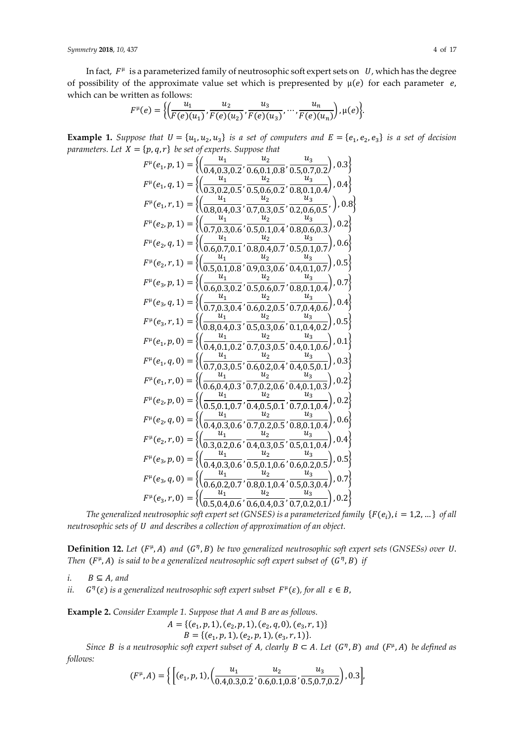*Symmetry* **2018**, *10*, 437 4 of 17

In fact,  $F^{\mu}$  is a parameterized family of neutrosophic soft expert sets on  $U$ , which has the degree of possibility of the approximate value set which is prepresented by  $\mu(e)$  for each parameter e, which can be written as follows:

$$
F^{\mu}(e)=\bigg\{\bigg(\frac{u_1}{F(e)(u_1)},\frac{u_2}{F(e)(u_2)},\frac{u_3}{F(e)(u_3)},\cdots,\frac{u_n}{F(e)(u_n)}\bigg),\mu(e)\bigg\}.
$$

**Example 1.** Suppose that  $U = \{u_1, u_2, u_3\}$  is a set of computers and  $E = \{e_1, e_2, e_3\}$  is a set of decision *parameters. Let*  $X = \{p, q, r\}$  *be set of experts. Suppose that* 

$$
F^{\mu}(e_1, p, 1) = \left\{ \left( \frac{u_1}{0.4, 0.3, 0.2}, \frac{u_2}{0.5, 0.6, 0.1, 0.8}, \frac{u_3}{0.5, 0.7, 0.2} \right), 0.3 \right\}
$$
  
\n
$$
F^{\mu}(e_1, r, 1) = \left\{ \left( \frac{u_1}{0.3, 0.2, 0.5}, \frac{u_2}{0.5, 0.6, 0.2}, \frac{u_3}{0.8, 0.1, 0.4} \right), 0.4 \right\}
$$
  
\n
$$
F^{\mu}(e_2, p, 1) = \left\{ \left( \frac{u_1}{0.7, 0.3, 0.6}, \frac{u_2}{0.7, 0.3, 0.5}, \frac{u_3}{0.2, 0.6, 0.5}, \right), 0.8 \right\}
$$
  
\n
$$
F^{\mu}(e_2, p, 1) = \left\{ \left( \frac{u_1}{0.7, 0.3, 0.6}, \frac{u_2}{0.5, 0.1, 0.4}, \frac{u_3}{0.8, 0.6, 0.3}, \right), 0.2 \right\}
$$
  
\n
$$
F^{\mu}(e_2, q, 1) = \left\{ \left( \frac{u_1}{0.6, 0.7, 0.1}, \frac{u_2}{0.8, 0.4, 0.7}, \frac{u_3}{0.8, 0.6, 0.3}, \right), 0.5 \right\}
$$
  
\n
$$
F^{\mu}(e_3, p, 1) = \left\{ \left( \frac{u_1}{0.5, 0.1, 0.8}, \frac{u_2}{0.9, 0.3, 0.6}, \frac{u_3}{0.4, 0.1, 0.7} \right), 0.5 \right\}
$$
  
\n
$$
F^{\mu}(e_3, q, 1) = \left\{ \left( \frac{u_1}{0.6, 0.3, 0.2}, \frac{u_2}{0.5, 0.6, 0.7}, \frac{u_3}{0.8, 0.1, 0.4}, \right), 0.7 \right\}
$$
  
\n
$$
F^{\mu}(
$$

The generalized neutrosophic soft expert set (GNSES) is a parameterized family  $\{F(e_i), i = 1, 2, ...\}$  of all *neutrosophic sets of and describes a collection of approximation of an object.*

**Definition 12.** Let  $(F^{\mu}, A)$  and  $(G^{\eta}, B)$  be two generalized neutrosophic soft expert sets (GNSESs) over U. Then  $(F^{\mu}, A)$  is said to be a generalized neutrosophic soft expert subset of  $(G^{\eta}, B)$  if

$$
i. \qquad B \subseteq A, \text{ and}
$$

*ii.*  $^{\eta}(\varepsilon)$  *is a generalized neutrosophic soft expert subset*  $F^{\mu}(\varepsilon)$ *, for all*  $\varepsilon \in B$ *,* 

**Example 2.** *Consider Example 1. Suppose that A and B are as follows.*

$$
A = \{ (e_1, p, 1), (e_2, p, 1), (e_2, q, 0), (e_3, r, 1) \}
$$
  

$$
B = \{ (e_1, p, 1), (e_2, p, 1), (e_3, r, 1) \}.
$$

*Since B is a neutrosophic soft expert subset of A, clearly*  $B \subset A$ *. Let*  $(G^{\eta}, B)$  *and*  $(F^{\mu}, A)$  *be defined as follows:*

$$
(F^{\mu}, A) = \left\{ \left[ (e_1, p, 1), \left( \frac{u_1}{0.4, 0.3, 0.2}, \frac{u_2}{0.6, 0.1, 0.8}, \frac{u_3}{0.5, 0.7, 0.2} \right), 0.3 \right], \right\}
$$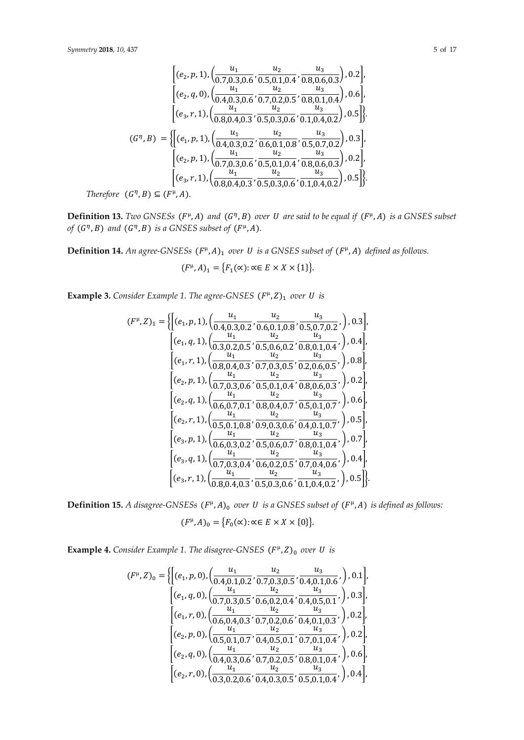$$
\begin{bmatrix}\n(e_2, p, 1), \left(\frac{u_1}{0.7, 0.3, 0.6}, \frac{u_2}{0.5, 0.1, 0.4}, \frac{u_3}{0.8, 0.6, 0.3}\right), 0.2\n\end{bmatrix},
$$
\n
$$
\begin{bmatrix}\n(e_2, q, 0), \left(\frac{u_1}{0.4, 0.3, 0.6}, \frac{u_2}{0.7, 0.2, 0.5}, \frac{u_3}{0.8, 0.1, 0.4}\right), 0.6\n\end{bmatrix},
$$
\n
$$
\begin{bmatrix}\n(e_3, r, 1), \left(\frac{u_1}{0.8, 0.4, 0.3}, \frac{u_2}{0.5, 0.3, 0.6}, \frac{u_3}{0.1, 0.4, 0.2}\right), 0.5\n\end{bmatrix}.
$$
\n
$$
(G^{\eta}, B) = \left\{\n\begin{bmatrix}\n(e_1, p, 1), \left(\frac{u_1}{0.4, 0.3, 0.2}, \frac{u_2}{0.6, 0.1, 0.8}, \frac{u_3}{0.5, 0.7, 0.2}\right), 0.3\n\end{bmatrix}, \left[\n(e_2, p, 1), \left(\frac{u_1}{0.7, 0.3, 0.6}, \frac{u_2}{0.5, 0.1, 0.4}, \frac{u_3}{0.8, 0.6, 0.3}\right), 0.2\n\end{bmatrix}, \left[\n(e_3, r, 1), \left(\frac{u_1}{0.8, 0.4, 0.3}, \frac{u_2}{0.5, 0.3, 0.6}, \frac{u_3}{0.1, 0.4, 0.2}\right), 0.5\n\right]\n\}
$$
\nTherefore  $(G^{\eta}, B) \subseteq (F^{\mu}, A)$ .

**Definition 13.** *Two GNSESs*  $(F^{\mu}, A)$  and  $(G^{\eta}, B)$  over U are said to be equal if  $(F^{\mu}, A)$  is a GNSES subset of  $(G<sup>n</sup>, B)$  and  $(G<sup>n</sup>, B)$  is a GNSES subset of  $(F<sup>\mu</sup>, A)$ *.* 

**Definition 14.** An agree-GNSESs  $(F^{\mu}, A)_{1}$  over U is a GNSES subset of  $(F^{\mu}, A)$  defined as follows.

 $(F^{\mu}, A)_1 = \{F_1(\infty) : \alpha \in E \times X \times \{1\}\}.$ 

**Example 3.** *Consider Example 1. The agree-GNSES*  $(F^{\mu}, Z)$ <sub>1</sub> *over U is* 

$$
(F^{\mu},Z)_{1} = \left\{ \left[ (e_1, p, 1), \left( \frac{u_1}{0.4, 0.3, 0.2}, \frac{u_2}{0.6, 0.1, 0.8}, \frac{u_3}{0.5, 0.7, 0.2}, \right), 0.3 \right], \left. \left[ (e_1, q, 1), \left( \frac{u_1}{0.3, 0.2, 0.5}, \frac{u_2}{0.5, 0.6, 0.2}, \frac{u_3}{0.8, 0.1, 0.4}, \right), 0.4 \right], \left. \left. \left[ (e_1, r, 1), \left( \frac{u_1}{0.8, 0.4, 0.3}, \frac{u_2}{0.7, 0.3, 0.5}, \frac{u_3}{0.2, 0.6, 0.5}, \right), 0.8 \right], \left. \left. \left[ (e_2, p, 1), \left( \frac{u_1}{0.7, 0.3, 0.6}, \frac{u_2}{0.5, 0.1, 0.4}, \frac{u_3}{0.8, 0.6, 0.3}, \right), 0.2 \right], \left. \left. \left[ (e_2, q, 1), \left( \frac{u_1}{0.6, 0.7, 0.1}, \frac{u_2}{0.8, 0.4, 0.7}, \frac{u_3}{0.5, 0.1, 0.7}, \right), 0.6 \right], \left. \left. \left[ (e_2, r, 1), \left( \frac{u_1}{0.5, 0.1, 0.8}, \frac{u_2}{0.9, 0.3, 0.6}, \frac{u_3}{0.4, 0.1, 0.7}, \right), 0.5 \right], \left. \left. \left[ (e_3, p, 1), \left( \frac{u_1}{0.6, 0.3, 0.2}, \frac{u_2}{0.5, 0.6, 0.7}, \frac{u_3}{0.8, 0.1, 0.4}, \right), 0.7 \right], \left. \left. \left[ (e_3, q, 1), \left( \frac{u_1}{0.7, 0.3, 0.4}, \frac{u_2}{0.6, 0.2, 0.5}, \frac{u_3}{0.7, 0.4, 0.6}, \right),
$$

**Definition 15.** A disagree-GNSESs  $(F^{\mu}, A)_{0}$  over U is a GNSES subset of  $(F^{\mu}, A)$  is defined as follows:  $(F^{\mu}, A)_0 = \{F_0(\infty) : \alpha \in E \times X \times \{0\}\}.$ 

**Example 4.** Consider Example 1. The disagree-GNSES  $(F^{\mu}, Z)_{0}$  over U is

$$
(F^{\mu}, Z)_{0} = \left\{ \left[ (e_{1}, p, 0), \left( \frac{u_{1}}{0.4, 0.1, 0.2}, \frac{u_{2}}{0.7, 0.3, 0.5}, \frac{u_{3}}{0.4, 0.1, 0.6}, \right), 0.1 \right], \left. \left[ (e_{1}, q, 0), \left( \frac{u_{1}}{0.7, 0.3, 0.5}, \frac{u_{2}}{0.6, 0.2, 0.4}, \frac{u_{3}}{0.4, 0.5, 0.1}, \right), 0.3 \right], \left. \left[ (e_{1}, r, 0), \left( \frac{u_{1}}{0.6, 0.4, 0.3}, \frac{u_{2}}{0.7, 0.2, 0.6}, \frac{u_{3}}{0.4, 0.1, 0.3}, \right), 0.2 \right], \left. \left[ (e_{2}, p, 0), \left( \frac{u_{1}}{0.5, 0.1, 0.7}, \frac{u_{2}}{0.4, 0.5, 0.1}, \frac{u_{3}}{0.7, 0.1, 0.4}, \right), 0.2 \right], \left. \left[ (e_{2}, q, 0), \left( \frac{u_{1}}{0.4, 0.3, 0.6}, \frac{u_{2}}{0.7, 0.2, 0.5}, \frac{u_{3}}{0.8, 0.1, 0.4}, \right), 0.6 \right], \left. \left[ (e_{2}, r, 0), \left( \frac{u_{1}}{0.3, 0.2, 0.6}, \frac{u_{2}}{0.4, 0.3, 0.5}, \frac{u_{3}}{0.5, 0.1, 0.4}, \right), 0.4 \right], \left. \left. \left[ (e_{2}, r, 0), \left( \frac{u_{1}}{0.3, 0.2, 0.6}, \frac{u_{2}}{0.4, 0.3, 0.5}, \frac{u_{3}}{0.5, 0.1, 0.4}, \right), 0.4 \right], \right\}
$$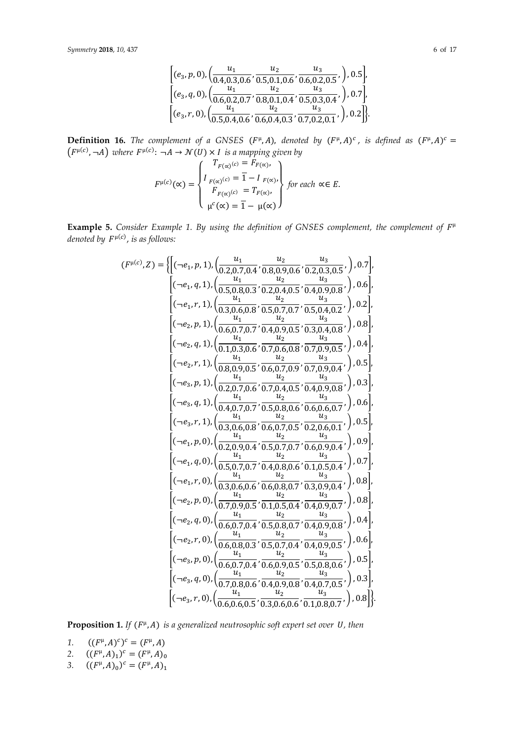$$
\begin{bmatrix} (e_3, p, 0), \left( \frac{u_1}{0.4, 0.3, 0.6}, \frac{u_2}{0.5, 0.1, 0.6}, \frac{u_3}{0.6, 0.2, 0.5}, \right), 0.5 \\ \left[ (e_3, q, 0), \left( \frac{u_1}{0.6, 0.2, 0.7}, \frac{u_2}{0.8, 0.1, 0.4}, \frac{u_3}{0.5, 0.3, 0.4}, \right), 0.7 \right], \\ \left[ (e_3, r, 0), \left( \frac{u_1}{0.5, 0.4, 0.6}, \frac{u_2}{0.6, 0.4, 0.3}, \frac{u_3}{0.7, 0.2, 0.1}, \right), 0.2 \right] \right]. \end{bmatrix}
$$

**Definition 16.** The complement of a GNSES ( $F^{\mu}, A$ ), denoted by  $(F^{\mu}, A)^{c}$ , is defined as  $(F^{\mu}, A)^{c} =$  $(F^{\mu(c)}, \neg A)$  where  $F^{\mu(c)}$ :  $\neg A \to \mathcal{N}(U) \times I$  is a mapping given by

$$
F^{\mu(c)}(\alpha) = \begin{cases} T_{F(\alpha)^{(c)}} = F_{F(\alpha)}, \\ I_{F(\alpha)^{(c)}} = \overline{1} - I_{F(\alpha)}, \\ F_{F(\alpha)^{(c)}} = T_{F(\alpha)}, \\ \mu^{c}(\alpha) = \overline{1} - \mu(\alpha) \end{cases} for each \alpha \in E.
$$

**Example 5.** Consider Example 1. By using the definition of GNSES complement, the complement of  $F^{\mu}$ denoted by  $F^{\mu(c)}$ , is as follows:

$$
(F^{\mu(c)}, Z) = \left\{ \left[ (-e_1, p, 1), \left( \frac{u_1}{0.2, 0.7, 0.4}, \frac{u_2}{0.8, 0.9, 0.6}, \frac{u_3}{0.2, 0.3, 0.5}, \right), 0.7 \right], \\ \left[ (-e_1, q, 1), \left( \frac{u_1}{0.5, 0.8, 0.3}, \frac{u_2}{0.2, 0.4, 0.5}, \frac{u_3}{0.4, 0.9, 0.8}, \right), 0.6 \right], \\ \left[ (-e_1, r, 1), \left( \frac{u_1}{0.3, 0.6, 0.8}, \frac{u_2}{0.5, 0.7, 0.7}, \frac{u_3}{0.5, 0.4, 0.2}, \right), 0.2 \right], \\ \left[ (-e_2, p, 1), \left( \frac{u_1}{0.6, 0.7, 0.7}, \frac{u_2}{0.4, 0.9, 0.5}, \frac{u_3}{0.3, 0.4, 0.8}, \right), 0.8 \right], \\ \left[ (-e_2, q, 1), \left( \frac{u_1}{0.1, 0.3, 0.6}, \frac{u_2}{0.7, 0.6, 0.8}, \frac{u_3}{0.7, 0.9, 0.5}, \right), 0.4 \right], \\ \left[ (-e_2, r, 1), \left( \frac{u_1}{0.2, 0.7, 0.6}, \frac{u_2}{0.6, 0.7, 0.9}, \frac{u_3}{0.4, 0.9, 0.8}, \right), 0.5 \right], \\ \left[ (-e_3, p, 1), \left( \frac{u_1}{0.2, 0.7, 0.6}, \frac{u_2}{0.5, 0.8, 0.5}, \frac{u_3}{0.4, 0.9, 0.8}, \right), 0.5 \right], \\ \left[ (-e_3, q, 1), \left( \frac{u_1}{0.2, 0.7, 0.6}, \frac{u_2}{0.5, 0.8, 0.6}, \frac{u_3}{0.4, 0.9, 0.8}, \right), 0.5 \right], \\ \left[ (-e_2, r, 1), \left( \frac{u_1}{0.2
$$

**Proposition 1.** If  $(F^{\mu}, A)$  is a generalized neutrosophic soft expert set over U, then

1.  $((F^{\mu}, A)^c)^c = (F^{\mu}, A)$ 

2.  $((F^{\mu}, A)_{1})^{c} = (F^{\mu}, A)_{0}$ 

3.  $((F^{\mu}, A)_{0})^{c} = (F^{\mu}, A)_{1}$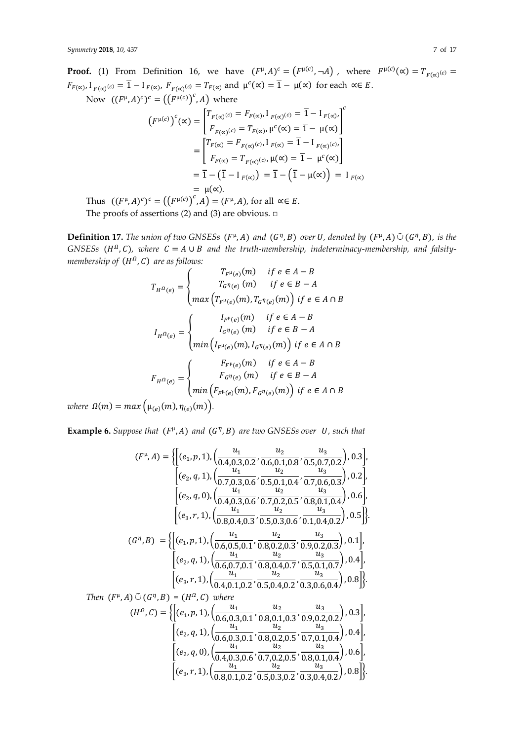**Proof.** (1) From Definition 16, we have  $(F^{\mu}, A)^c = (F^{\mu(c)}, \neg A)$ , where  $F^{\mu(c)}(\alpha) = T_{F(\alpha)^{(c)}} = T_{F(\alpha)^{(c)}}$  $F_{F(\alpha)}, I_{F(\alpha)^{(c)}} = \overline{1} - I_{F(\alpha)}, F_{F(\alpha)^{(c)}} = T_{F(\alpha)}$  and  $\mu^{c}(\alpha) = \overline{1} - \mu(\alpha)$  for each  $\alpha \in E$ .

Now  $((F^{\mu}, A)^c)^c = ((F^{\mu(c)})^c, A)$  where

$$
(F^{\mu(c)})^c(\alpha) = \begin{bmatrix} T_{F(\alpha)}(c) = F_{F(\alpha)}, I_{F(\alpha)}(c) = \overline{1} - I_{F(\alpha)}, \\ F_{F(\alpha)}(c) = T_{F(\alpha)}, \mu^c(\alpha) = \overline{1} - \mu(\alpha) \end{bmatrix}^c
$$

$$
= \begin{bmatrix} T_{F(\alpha)} = F_{F(\alpha)}(c), I_{F(\alpha)} = \overline{1} - I_{F(\alpha)}(c), \\ F_{F(\alpha)} = T_{F(\alpha)}(c), \mu(\alpha) = \overline{1} - \mu^c(\alpha) \end{bmatrix}
$$

$$
= \overline{1} - (\overline{1} - I_{F(\alpha)}) = \overline{1} - (\overline{1} - \mu(\alpha)) = I_{F(\alpha)}
$$

$$
= \mu(\alpha).
$$

Thus  $((F^{\mu}, A)^c)^c = ((F^{\mu(c)})^c, A) = (F^{\mu}, A)$ , for all  $\alpha \in E$ .

The proofs of assertions (2) and (3) are obvious.  $\square$ 

**Definition 17.** The union of two GNSESs  $(F^{\mu}, A)$  and  $(G^{\eta}, B)$  over U, denoted by  $(F^{\mu}, A) \tilde{\cup} (G^{\eta}, B)$ , is the  $GNSESs$  ( $H^{\Omega}$ , C), where  $C = A \cup B$  and the truth-membership, indeterminacy-membership, and falsitymembership of  $(H^{\Omega}, \mathcal{C})$  are as follows:

$$
T_{H} \Omega_{(e)} = \begin{cases} T_{F^{\mu}(e)}(m) & \text{if } e \in A - B \\ T_{G} \eta_{(e)}(m) & \text{if } e \in B - A \end{cases}
$$
  

$$
I_{H} \Omega_{(e)} = \begin{cases} I_{F^{\mu}(e)}(m) & \text{if } e \in A \cap B \\ I_{G} \eta_{(e)}(m) & \text{if } e \in A - B \end{cases}
$$
  

$$
I_{H} \Omega_{(e)} = \begin{cases} I_{F^{\mu}(e)}(m) & \text{if } e \in B - A \\ \min \left( I_{F^{\mu}(e)}(m), I_{G} \eta_{(e)}(m) \right) & \text{if } e \in A \cap B \end{cases}
$$
  

$$
F_{H} \Omega_{(e)} = \begin{cases} F_{F^{\mu}(e)}(m) & \text{if } e \in A - B \\ F_{G} \eta_{(e)}(m) & \text{if } e \in B - A \end{cases}
$$
  

$$
I_{H} \Omega_{(e)} = \begin{cases} F_{F^{\mu}(e)}(m) & \text{if } e \in A - B \\ \min \left( F_{F^{\mu}(e)}(m), F_{G} \eta_{(e)}(m) \right) & \text{if } e \in A \cap B \end{cases}
$$

*where*  $\Omega(m) = max(\mu_{(e)}(m), \eta_{(e)}(m)).$ 

**Example 6.** Suppose that  $(F^{\mu}, A)$  and  $(G^{\eta}, B)$  are two GNSESs over  $U$ , such that

$$
(F^{\mu}, A) = \left\{ \left[ (e_1, p, 1), \left( \frac{u_1}{0.4, 0.3, 0.2}, \frac{u_2}{0.6, 0.1, 0.8}, \frac{u_3}{0.5, 0.7, 0.2} \right), 0.3 \right], \\ \left[ (e_2, q, 1), \left( \frac{u_1}{0.7, 0.3, 0.6}, \frac{u_2}{0.5, 0.1, 0.4}, \frac{u_3}{0.7, 0.6, 0.3} \right), 0.2 \right], \\ \left[ (e_2, q, 0), \left( \frac{u_1}{0.4, 0.3, 0.6}, \frac{u_2}{0.7, 0.2, 0.5}, \frac{u_3}{0.8, 0.1, 0.4} \right), 0.6 \right], \\ \left[ (e_3, r, 1), \left( \frac{u_1}{0.8, 0.4, 0.3}, \frac{u_2}{0.5, 0.3, 0.6}, \frac{u_3}{0.1, 0.4, 0.2} \right), 0.5 \right] \right\}
$$
\n
$$
(G^{\eta}, B) = \left\{ \left[ (e_1, p, 1), \left( \frac{u_1}{0.6, 0.5, 0.1}, \frac{u_2}{0.8, 0.2, 0.3}, \frac{u_3}{0.9, 0.2, 0.3} \right), 0.1 \right], \\ \left[ (e_2, q, 1), \left( \frac{u_1}{0.6, 0.7, 0.1}, \frac{u_2}{0.8, 0.4, 0.7}, \frac{u_3}{0.5, 0.1, 0.7} \right), 0.4 \right], \\ \left[ (e_3, r, 1), \left( \frac{u_1}{0.4, 0.1, 0.2}, \frac{u_2}{0.5, 0.4, 0.2}, \frac{u_3}{0.3, 0.6, 0.4} \right), 0.8 \right] \right\}
$$
\n
$$
Then (F^{\mu}, A) \tilde{\cup} (G^{\eta}, B) = (H^{\alpha}, C) where
$$
\n
$$
(H^{\alpha}, C) = \left\{ \left[ (e_1, p, 1), \left( \frac{u_1}{0.6
$$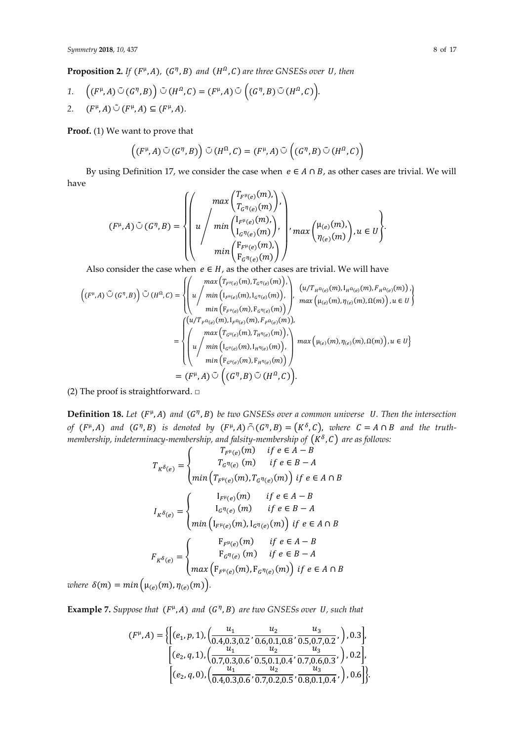**Proposition 2.** If  $(F^{\mu}, A)$ ,  $(G^{\eta}, B)$  and  $(H^{\Omega}, C)$  are three GNSESs over U, then

1. 
$$
\left((F^{\mu}, A) \tilde{\cup} (G^{\eta}, B)\right) \tilde{\cup} (H^{\Omega}, C) = (F^{\mu}, A) \tilde{\cup} \left((G^{\eta}, B) \tilde{\cup} (H^{\Omega}, C)\right).
$$

2. 
$$
(F^{\mu}, A) \tilde{\cup} (F^{\mu}, A) \subseteq (F^{\mu}, A)
$$
.

**Proof.** (1) We want to prove that

$$
((F^{\mu}, A) \tilde{\cup} (G^{\eta}, B)) \tilde{\cup} (H^{\Omega}, C) = (F^{\mu}, A) \tilde{\cup} ((G^{\eta}, B) \tilde{\cup} (H^{\Omega}, C))
$$

By using Definition 17, we consider the case when  $e \in A \cap B$ , as other cases are trivial. We will have

$$
(F^{\mu}, A) \tilde{\cup} (G^{\eta}, B) = \left\{ \left( u \left/ \begin{array}{c} \max\left( T_{F^{\mu}(e)}(m), \atop T_{G^{\eta}(e)}(m) \right), \\ u \left/ \begin{array}{c} \min\left( I_{F^{\mu}(e)}(m), \atop I_{G^{\eta}(e)}(m) \right), \\ \min\left( I_{F^{\mu}(e)}(m) \right), \\ \min\left( F_{F^{\mu}(e)}(m) \right) \end{array} \right), u \in U \right\}.
$$

Also consider the case when  $e \in H$ , as the other cases are trivial. We will have

$$
\left((F^{\mu},A)\tilde{\cup}(G^{\eta},B)\right)\tilde{\cup}(H^{\Omega},C)=\begin{cases} \begin{pmatrix} \max\left(T_{F^{\mu}(e)}(m),T_{G^{\eta}(e)}(m)\right), \\ u \end{pmatrix}, \begin{pmatrix} u/T_{H^{\Omega}(e)}(m),I_{H^{\Omega}(e)}(m),F_{H^{\Omega}(e)}(m),F_{H^{\Omega}(e)}(m)) \end{pmatrix}, \\ \min\left(F_{F^{\mu}(e)}(m),F_{G^{\eta}(e)}(m)\right), \quad \max\left(\mu_{(e)}(m),\eta_{(e)}(m),\Omega(m)\right),u\in U\right) \\ \min\left(F_{F^{\mu}(e)}(m),F_{F^{\Omega}(e)}(m)\right), \end{cases} \\ =\begin{cases} \begin{pmatrix} u/T_{F^{\Omega}(e)}(m),I_{F^{\Omega}(e)}(m),\\ u \end{pmatrix},\quad \max\left(T_{G^{\mu}(e)}(m),T_{H^{\eta}(e)}(m)\right), \\ u\left(\min\left(I_{G^{\mu}(e)}(m),I_{H^{\eta}(e)}(m)\right)\right), \\ \min\left(F_{G^{\mu}(e)}(m),F_{H^{\eta}(e)}(m)\right) \end{pmatrix} \\ = (F^{\mu},A)\tilde{\cup}\left((G^{\eta},B)\tilde{\cup}(H^{\Omega},C)\right). \end{cases}
$$

(2) The proof is straightforward.  $\square$ 

**Definition 18.** Let  $(F^{\mu}, A)$  and  $(G^{\eta}, B)$  be two GNSESs over a common universe U. Then the intersection *of*  $(F^{\mu}, A)$  and  $(G^{\eta}, B)$  is denoted by  $(F^{\mu}, A) \tilde{\cap} (G^{\eta}, B) = (K^{\delta}, C)$ , where  $C = A \cap B$  and the truthmembership, indeterminacy-membership, and falsity-membership of  $(K^\delta, \mathcal{C})$  are as follows:

$$
T_{K^{\delta}(e)} = \begin{cases} T_{F^{\mu}(e)}(m) & \text{if } e \in A - B \\ T_{G^{\eta}(e)}(m) & \text{if } e \in B - A \end{cases}
$$
  
\n
$$
I_{K^{\delta}(e)} = \begin{cases} I_{F^{\mu}(e)}(m), T_{G^{\eta}(e)}(m) & \text{if } e \in A \cap B \\ I_{G^{\eta}(e)}(m) & \text{if } e \in A - B \\ \min \left( I_{F^{\mu}(e)}(m), I_{G^{\eta}(e)}(m) \right) & \text{if } e \in A \cap B \end{cases}
$$
  
\n
$$
F_{K^{\delta}(e)} = \begin{cases} F_{F^{\mu}(e)}(m) & \text{if } e \in A - B \\ F_{G^{\eta}(e)}(m) & \text{if } e \in A - B \\ F_{G^{\eta}(e)}(m) & \text{if } e \in B - A \\ \max \left( F_{F^{\mu}(e)}(m), F_{G^{\eta}(e)}(m) \right) & \text{if } e \in A \cap B \end{cases}
$$

*where*  $\delta(m) = min(\mu_{(e)}(m), \eta_{(e)}(m)).$ 

**Example 7.** Suppose that  $(F^{\mu}, A)$  and  $(G^{\eta}, B)$  are two GNSESs over *U*, such that

$$
(F^{\mu}, A) = \left\{ \left[ (e_1, p, 1), \left( \frac{u_1}{0.4, 0.3, 0.2}, \frac{u_2}{0.6, 0.1, 0.8}, \frac{u_3}{0.5, 0.7, 0.2}, \right), 0.3 \right], \\ \left[ (e_2, q, 1), \left( \frac{u_1}{0.7, 0.3, 0.6}, \frac{u_2}{0.5, 0.1, 0.4}, \frac{u_3}{0.7, 0.6, 0.3}, \right), 0.2 \right], \\ \left[ (e_2, q, 0), \left( \frac{u_1}{0.4, 0.3, 0.6}, \frac{u_2}{0.7, 0.2, 0.5}, \frac{u_3}{0.8, 0.1, 0.4}, \right), 0.6 \right] \right\}.
$$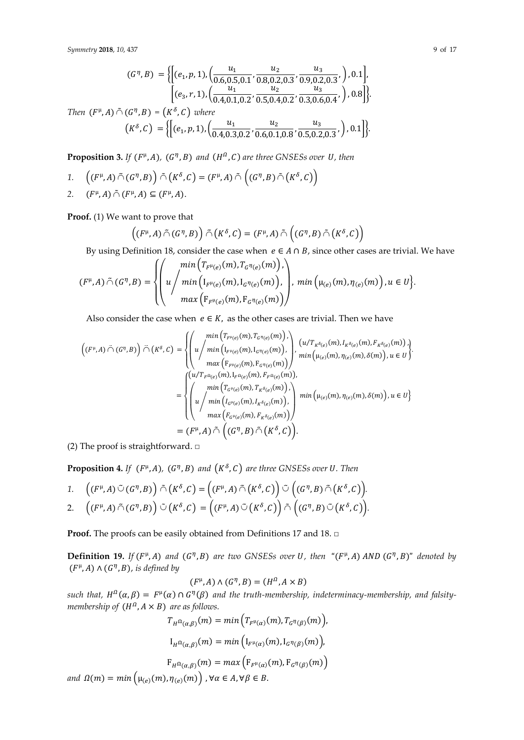$$
(G^{\eta}, B) = \left\{ \left[ (e_1, p, 1), \left( \frac{u_1}{0.6, 0.5, 0.1}, \frac{u_2}{0.8, 0.2, 0.3}, \frac{u_3}{0.9, 0.2, 0.3}, \right), 0.1 \right], \left. \left[ (e_3, r, 1), \left( \frac{u_1}{0.4, 0.1, 0.2}, \frac{u_2}{0.5, 0.4, 0.2}, \frac{u_3}{0.3, 0.6, 0.4}, \right), 0.8 \right] \right\}
$$

*Then*  $(F^{\mu}, A) \tilde{\cap} (G^{\eta}, B) = (K^{\delta}, C)$  *where*  $(K^{\delta}, C) = \left\{ \left[ (e_1, p, 1), \left( \frac{u_1}{0.4 \cdot 0.3} \right) \right] \right\}$  $\frac{u_1}{0.4, 0.3, 0.2}, \frac{u_2}{0.6, 0.1}$  $\frac{u_2}{0.6, 0.1, 0.8}, \frac{u_3}{0.5, 0.2}$  $\frac{1}{0.5, 0.2, 0.3}, \, \bigr)$ , 0.1 }.

**Proposition 3.** If  $(F^{\mu}, A)$ ,  $(G^{\eta}, B)$  and  $(H^{\Omega}, C)$  are three GNSESs over U, then

 $1. \quad \left( (F^{\mu},A)\,\tilde{\cap}\,(G^{\eta},B) \right) \,\tilde{\cap}\, \left( K^{\delta},C \right) = (F^{\mu},A)\,\tilde{\cap}\,\left( (G^{\eta},B)\,\tilde{\cap}\, \left( K^{\delta},C \right) \right)$ 2.  $(F^{\mu}, A) \tilde{\cap} (F^{\mu}, A) \subseteq (F^{\mu}, A)$ .

**Proof.** (1) We want to prove that

$$
((F^{\mu}, A) \tilde{\cap} (G^{\eta}, B)) \tilde{\cap} (K^{\delta}, C) = (F^{\mu}, A) \tilde{\cap} ((G^{\eta}, B) \tilde{\cap} (K^{\delta}, C))
$$

By using Definition 18, consider the case when  $e \in A \cap B$ , since other cases are trivial. We have

$$
(F^{\mu}, A) \tilde{\cap} (G^{\eta}, B) = \left\{ \left( u \left/ \min \left( T_{F^{\mu}(e)}(m), T_{G^{\eta}(e)}(m) \right), \atop \max \left( I_{F^{\mu}(e)}(m), I_{G^{\eta}(e)}(m) \right), \right), \min \left( \mu_{(e)}(m), \eta_{(e)}(m) \right), u \in U \right\} \right\}
$$

Also consider the case when  $e \in K$ , as the other cases are trivial. Then we have

$$
\left((F^{\mu}, A) \tilde{\bigcap} (G^{\eta}, B)\right) \tilde{\bigcap} \left(K^{\delta}, C\right) = \left\{ \left(u \Big/ \min\left(T_{F^{\mu}(e)}(m), T_{G^{\eta}(e)}(m)\right), \left(u/T_{K^{\delta}(e)}(m), I_{K^{\delta}(e)}(m), F_{K^{\delta}(e)}(m)\right)\right) \right\} \cdot \min\left(\mu_{e})\left(m\right), \eta_{e}\right) (u/T_{K^{\delta}(e)}(m), F_{K^{\delta}(e)}(m))\right) \cdot \min\left(\mu_{e})\left(m\right), \eta_{e}\right) (m, \delta(m)\right), u \in U \right\}
$$
\n
$$
= \left\{ \left(u/T_{F^{\Omega}(e)}(m), I_{F^{\Omega}(e)}(m), F_{F^{\Omega}(e)}(m))\right),
$$
\n
$$
= \left\{ \left(u/T_{F^{\Omega}(e)}(m), I_{F^{\delta}(e)}(m), T_{K^{\delta}(e)}(m))\right), \left(u/\min\left(I_{G^{\mu}(e)}(m), I_{K^{\delta}(e)}(m)\right)\right), \left(u/\min\left(I_{G^{\mu}(e)}(m), I_{K^{\delta}(e)}(m)\right)\right)\right\} \cdot \min\left(\mu_{e}\right) (m), \eta_{e}\right) (m), \delta(m)\right), u \in U \right\}
$$
\n
$$
= (F^{\mu}, A) \tilde{\bigcap} \left((G^{\eta}, B) \tilde{\bigcap} \left(K^{\delta}, C\right)\right).
$$

(2) The proof is straightforward.  $\square$ 

**Proposition 4.** If  $(F^{\mu}, A)$ ,  $(G^{\eta}, B)$  and  $(K^{\delta}, C)$  are three GNSESs over U. Then

1. 
$$
\left((F^{\mu}, A) \tilde{\cup} (G^{\eta}, B)\right) \tilde{\cap} \left(K^{\delta}, C\right) = \left((F^{\mu}, A) \tilde{\cap} (K^{\delta}, C)\right) \tilde{\cup} \left((G^{\eta}, B) \tilde{\cap} (K^{\delta}, C)\right).
$$
  
2. 
$$
\left((F^{\mu}, A) \tilde{\cap} (G^{\eta}, B)\right) \tilde{\cup} \left(K^{\delta}, C\right) = \left((F^{\mu}, A) \tilde{\cup} (K^{\delta}, C)\right) \tilde{\cap} \left((G^{\eta}, B) \tilde{\cup} (K^{\delta}, C)\right).
$$

**Proof.** The proofs can be easily obtained from Definitions 17 and 18. □

**Definition 19.** If  $(F^{\mu}, A)$  and  $(G^{\eta}, B)$  are two GNSESs over U, then " $(F^{\mu}, A)$  AND  $(G^{\eta}, B)$ " denoted by  $(F^{\mu}, A) \wedge (G^{\eta}, B)$ , is defined by

$$
(F^{\mu}, A) \wedge (G^{\eta}, B) = (H^{\Omega}, A \times B)
$$

 $\text{such that, } H^{\Omega}(\alpha,\beta) = F^{\mu}(\alpha) \cap G^{\eta}(\beta)$  and the truth-membership, indeterminacy-membership, and falsity*membership of*  $(H^{\Omega}, A \times B)$  *are as follows.* 

$$
T_{H^{\Omega}(\alpha,\beta)}(m) = \min\left(T_{F^{\mu}(\alpha)}(m), T_{G^{\eta}(\beta)}(m)\right),
$$
  
\n
$$
I_{H^{\Omega}(\alpha,\beta)}(m) = \min\left(I_{F^{\mu}(\alpha)}(m), I_{G^{\eta}(\beta)}(m)\right),
$$
  
\n
$$
F_{H^{\Omega}(\alpha,\beta)}(m) = \max\left(F_{F^{\mu}(\alpha)}(m), F_{G^{\eta}(\beta)}(m)\right)
$$
  
\nand  $\Omega(m) = \min\left(\mu_{(e)}(m), \eta_{(e)}(m)\right), \forall \alpha \in A, \forall \beta \in B.$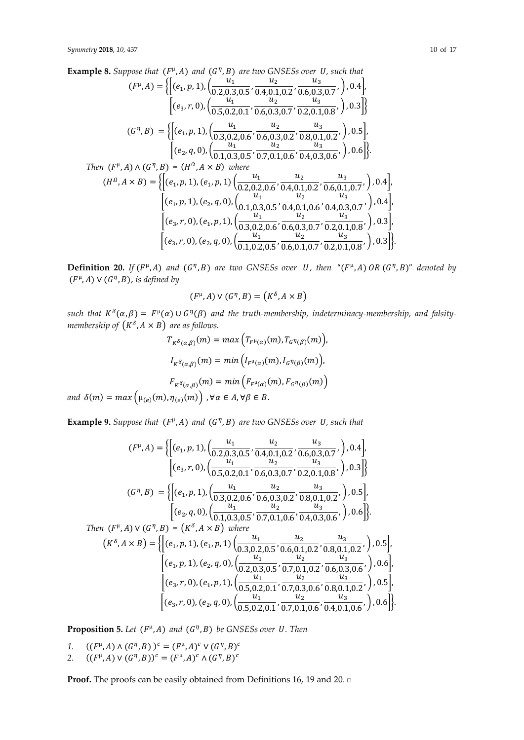**Example 8.** Suppose that  $(F^{\mu}, A)$  and  $(G^{\eta}, B)$  are two GNSESs over *U*, such that  $(F^{\mu}, A) = \left\{ \left[ (e_1, p, 1), \left( \frac{u_1}{0.2.0.3} \right) \right] \right\}$  $\frac{u_1}{0.2, 0.3, 0.5}, \frac{u_2}{0.4, 0.1}$  $\frac{u_2}{0.4, 0.1, 0.2}, \frac{u_3}{0.6, 0.3}$  $\frac{3}{0.6, 0.3, 0.7}, \, \big)$ , 0.4 $\big]$ ,  $\left[ (e_3, r, 0), \left( \frac{u_1}{0.5.0.7} \right) \right]$  $\frac{u_1}{0.5, 0.2, 0.1}, \frac{u_2}{0.6, 0.3}$  $\frac{u_2}{0.6, 0.3, 0.7}, \frac{u_3}{0.2, 0.1}$  $\left[\frac{0.2,0.1,0.8}{0.2,0.1,0.8},\right], 0.3$  $(G^{\eta},B) = \left\{ \left[ (e_1, p, 1), \left( \frac{u_1}{0.2.0.2} \right) \right] \right\}$  $\frac{u_1}{0.3, 0.2, 0.6}, \frac{u_2}{0.6, 0.3, 0.2}$  $\frac{u_2}{0.6, 0.3, 0.2}, \frac{u_3}{0.8, 0.1}$  $\frac{3}{0.8,0.1,0.2}$ ,  $\Big)$ , 0.5 $\Big]$ ,  $\left[ (e_2, q, 0), (\frac{u_1}{0.103}) \right]$  $\frac{u_1}{0.1, 0.3, 0.5}, \frac{u_2}{0.7, 0.1}$  $\frac{u_2}{0.7,0.1,0.6}, \frac{u_3}{0.4,0.3}$  $\frac{1}{0.4, 0.3, 0.6}, \, \bigr)$ , 0.6  $\bigr\}$ . *Then*  $(F^{\mu}, A) \wedge (G^{\eta}, B) = (H^{\Omega}, A \times B)$  *where*  $(H^0, A \times B) = \left\{ \left[ (e_1, p, 1), (e_1, p, 1) \left( \frac{u_1}{0.2.0.7} \right) \right] \right\}$  $\frac{u_1}{0.2, 0.2, 0.6}, \frac{u_2}{0.4, 0.1}$  $\frac{u_2}{0.4, 0.1, 0.2}, \frac{u_3}{0.6, 0.1}$  $\frac{1}{0.6, 0.1, 0.7}, \, \big)$ , 0.4 $\big]$ ,  $\left[ (e_1, p, 1), (e_2, q, 0), \left( \frac{u_1}{0.1, 0.2} \right) \right]$  $\frac{u_1}{0.1, 0.3, 0.5}, \frac{u_2}{0.4, 0.1}$  $\frac{u_2}{0.4, 0.1, 0.6}, \frac{u_3}{0.4, 0.3}$  $\frac{3}{0.4, 0.3, 0.7}, \, \big)$ , 0.4 $\big]$ ,  $\left[ (e_3, r, 0), (e_1, p, 1), \left( \frac{u_1}{0.3.0.3} \right) \right]$  $\frac{u_1}{0.3, 0.2, 0.6}, \frac{u_2}{0.6, 0.3, 0.2, 0.6}$  $\frac{u_2}{0.6, 0.3, 0.7}, \frac{u_3}{0.2, 0.1}$  $\frac{1}{0.2, 0.1, 0.8}, \, \bigg)$ , 0.3],  $\left[ (e_3, r, 0), (e_2, q, 0), \left( \frac{u_1}{0.1, 0.2} \right) \right]$  $\frac{u_1}{0.1, 0.2, 0.5}, \frac{u_2}{0.6, 0.1}$  $\frac{u_2}{0.6, 0.1, 0.7}, \frac{u_3}{0.2, 0.1}$  $\left\{\frac{1}{0.2,0.1,0.8},\right\}$ , 0.3

**Definition 20.** If  $(F^{\mu}, A)$  and  $(G^{\eta}, B)$  are two GNSESs over U, then " $(F^{\mu}, A)$  OR  $(G^{\eta}, B)$ " denoted by  $(F^{\mu}, A) \vee (G^{\eta}, B)$ , is defined by

$$
(F^{\mu}, A) \vee (G^{\eta}, B) = (K^{\delta}, A \times B)
$$

 $\text{such that } K^{\delta}(\alpha,\beta) = F^{\mu}(\alpha) \cup G^{\eta}(\beta)$  and the truth-membership, indeterminacy-membership, and falsitymembership of  $(K^{\delta}, A \times B)$  are as follows.

$$
T_{K^{\delta}(\alpha,\beta)}(m) = \max\left(T_{F^{\mu}(\alpha)}(m), T_{G^{\eta}(\beta)}(m)\right),
$$

$$
I_{K^{\delta}(\alpha,\beta)}(m) = \min\left(I_{F^{\mu}(\alpha)}(m), I_{G^{\eta}(\beta)}(m)\right),
$$

$$
F_{K^{\delta}(\alpha,\beta)}(m) = \min\left(F_{F^{\mu}(\alpha)}(m), F_{G^{\eta}(\beta)}(m)\right)
$$
and  $\delta(m) = \max\left(\mu_{(e)}(m), \eta_{(e)}(m)\right)$ ,  $\forall \alpha \in A, \forall \beta \in B$ .

**Example 9.** Suppose that  $(F^{\mu}, A)$  and  $(G^{\eta}, B)$  are two GNSESs over *U*, such that

$$
(F^{\mu}, A) = \left\{ \left[ (e_1, p, 1), \left( \frac{u_1}{0.2, 0.3, 0.5}, \frac{u_2}{0.4, 0.1, 0.2}, \frac{u_3}{0.6, 0.3, 0.7}, \right), 0.4 \right], \left. \left[ (e_3, r, 0), \left( \frac{u_1}{0.5, 0.2, 0.1}, \frac{u_2}{0.6, 0.3, 0.7}, \frac{u_3}{0.2, 0.1, 0.8}, \right), 0.3 \right] \right\}
$$
\n
$$
(G^{\eta}, B) = \left\{ \left[ (e_1, p, 1), \left( \frac{u_1}{0.3, 0.2, 0.6}, \frac{u_2}{0.6, 0.3, 0.2}, \frac{u_3}{0.8, 0.1, 0.2}, \right), 0.5 \right], \left. \left[ (e_2, q, 0), \left( \frac{u_1}{0.1, 0.3, 0.5}, \frac{u_2}{0.7, 0.1, 0.6}, \frac{u_3}{0.4, 0.3, 0.6}, \right), 0.6 \right] \right\}
$$
\nThen  $(F^{\mu}, A) \vee (G^{\eta}, B) = (K^{\delta}, A \times B)$  where\n
$$
(K^{\delta}, A \times B) = \left\{ \left[ (e_1, p, 1), (e_1, p, 1) \left( \frac{u_1}{0.3, 0.2, 0.5}, \frac{u_2}{0.6, 0.1, 0.2}, \frac{u_3}{0.8, 0.1, 0.2}, \right), 0.5 \right], \left. \left[ (e_1, p, 1), (e_2, q, 0), \left( \frac{u_1}{0.2, 0.3, 0.5}, \frac{u_2}{0.7, 0.1, 0.2}, \frac{u_3}{0.6, 0.3, 0.6}, \right), 0.6 \right], \left. \left[ (e_3, r, 0), (e_1, p, 1), \left( \frac{u_1}{0.5, 0.2, 0.1}, \frac{u_2}{0.7, 0.3, 0.6}, \frac{u_3}{0.8, 0.1, 0.2}, \
$$

**Proposition 5.** Let  $(F^{\mu}, A)$  and  $(G^{\eta}, B)$  be GNSESs over U. Then

1.  $((F^{\mu}, A) \wedge (G^{\eta}, B))^{c} = (F^{\mu}, A)^{c} \vee (G^{\eta}, B)^{c}$ 

2. 
$$
((F^{\mu}, A) \vee (G^{\eta}, B))^c = (F^{\mu}, A)^c \wedge (G^{\eta}, B)^c
$$

**Proof.** The proofs can be easily obtained from Definitions 16, 19 and 20. □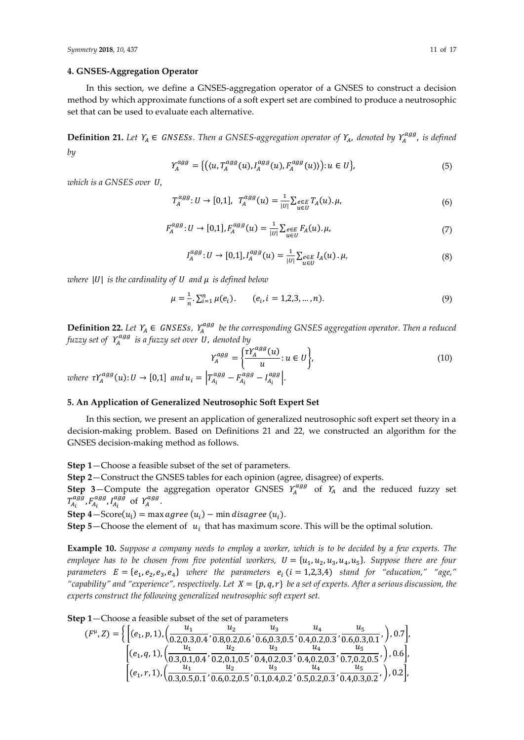#### **4. GNSES-Aggregation Operator**

In this section, we define a GNSES-aggregation operator of a GNSES to construct a decision method by which approximate functions of a soft expert set are combined to produce a neutrosophic set that can be used to evaluate each alternative.

**Definition 21.** Let  $Y_A \in GNSESS$ . Then a GNSES-aggregation operator of  $Y_A$ , denoted by  $Y_A^{agg}$ , is defined *by*

$$
Y_A^{agg} = \{ ((u, T_A^{agg}(u), I_A^{agg}(u), F_A^{agg}(u))): u \in U \},
$$
 (5)

*which is a GNSES over U.* 

$$
T_A^{agg}: U \to [0,1], \ T_A^{agg}(u) = \frac{1}{|U|} \sum_{u \in U} P_A(u) \cdot \mu,\tag{6}
$$

$$
F_A^{agg}: U \to [0,1], F_A^{agg}(u) = \frac{1}{|U|} \sum_{u \in U} e_{\text{E}} F_A(u). \mu,
$$
\n(7)

$$
I_A^{agg}: U \to [0,1], I_A^{agg}(u) = \frac{1}{|U|} \sum_{u \in U} e_{\in E} I_A(u) \cdot \mu,
$$
\n(8)

*where*  $|U|$  *is the cardinality of*  $U$  *and*  $\mu$  *is defined below* 

$$
\mu = \frac{1}{n} \cdot \sum_{i=1}^{n} \mu(e_i). \qquad (e_i, i = 1, 2, 3, \dots, n). \tag{9}
$$

**Definition 22.** Let  $Y_A$  ∈ *GNSESs,*  $Y_A^{agg}$  *be the corresponding GNSES aggregation operator. Then a reduced* fuzzy set of  $\varUpsilon_A^{agg}$  is a fuzzy set over U, denoted by

$$
Y_A^{agg} = \left\{ \frac{\tau Y_A^{agg}(u)}{u} : u \in U \right\},
$$
  
where  $\tau Y_A^{agg}(u) : U \to [0,1]$  and  $u_i = \left| T_{A_i}^{agg} - F_{A_i}^{agg} - I_{A_i}^{agg} \right|.$  (10)

#### **5. An Application of Generalized Neutrosophic Soft Expert Set**

In this section, we present an application of generalized neutrosophic soft expert set theory in a decision-making problem. Based on Definitions 21 and 22, we constructed an algorithm for the GNSES decision-making method as follows.

**Step 1**—Choose a feasible subset of the set of parameters.

**Step 2**—Construct the GNSES tables for each opinion (agree, disagree) of experts.

**Step** 3–Compute the aggregation operator GNSES  $Y_A^{agg}$  of  $Y_A$  and the reduced fuzzy set  $T_{A_i}^{agg}$ ,  $F_{A_i}^{agg}$ ,  $I_{A_i}^{agg}$  of  $Y_A^{agg}$ .

**Step 4** — Score $(u_i)$  = max agree  $(u_i)$  — min disagree  $(u_i)$ .

**Step 5**—Choose the element of  $u_i$  that has maximum score. This will be the optimal solution.

**Example 10.** *Suppose a company needs to employ a worker, which is to be decided by a few experts. The employee has to be chosen from five potential workers,*  $U = \{u_1, u_2, u_3, u_4, u_5\}$ *. Suppose there are four*  $parameters E = \{e_1, e_2, e_3, e_4\}$  where the parameters  $e_i$  ( $i = 1,2,3,4$ ) stand for "education," "age," "capability" and "experience", respectively. Let  $X = \{p, q, r\}$  be a set of experts. After a serious discussion, the *experts construct the following generalized neutrosophic soft expert set.*

**Step 1**—Choose a feasible subset of the set of parameters

$$
(F^{\mu}, Z) = \left\{ \left[ (e_1, p, 1), \left( \frac{u_1}{0.2, 0.3, 0.4}, \frac{u_2}{0.8, 0.2, 0.6}, \frac{u_3}{0.6, 0.3, 0.5}, \frac{u_4}{0.4, 0.2, 0.3}, \frac{u_5}{0.6, 0.3, 0.1}, \right), 0.7 \right],
$$
  

$$
\left[ (e_1, q, 1), \left( \frac{u_1}{0.3, 0.1, 0.4}, \frac{u_2}{0.2, 0.1, 0.5}, \frac{u_3}{0.4, 0.2, 0.3}, \frac{u_4}{0.4, 0.2, 0.3}, \frac{u_5}{0.7, 0.2, 0.5}, \right), 0.6 \right],
$$
  

$$
\left[ (e_1, r, 1), \left( \frac{u_1}{0.3, 0.5, 0.1}, \frac{u_2}{0.6, 0.2, 0.5}, \frac{u_3}{0.1, 0.4, 0.2}, \frac{u_4}{0.5, 0.2, 0.3}, \frac{u_5}{0.4, 0.3, 0.2}, \right), 0.2 \right],
$$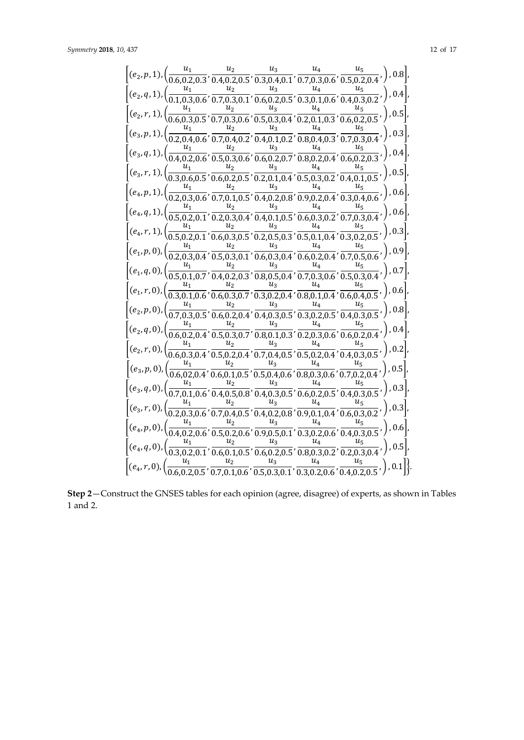|  |                    |                    |                    | $\left[(e_2, p, 1), \left(\frac{u_1}{0.6, 0.2, 0.3}, \frac{u_2}{0.4, 0.2, 0.5}, \frac{u_3}{0.3, 0.4, 0.1}, \frac{u_4}{0.7, 0.3, 0.6}, \frac{u_5}{0.5, 0.2, 0.4}, \right), 0.8\right],$              |
|--|--------------------|--------------------|--------------------|-----------------------------------------------------------------------------------------------------------------------------------------------------------------------------------------------------|
|  |                    |                    |                    |                                                                                                                                                                                                     |
|  | $\boldsymbol{u}_2$ | $u_3$              |                    | $\left[(e_2, q, 1), \left(\frac{u_1}{0.1, 0.3, 0.6}, \frac{u_2}{0.7, 0.3, 0.1}, \frac{u_3}{0.6, 0.2, 0.5}, \frac{u_4}{0.3, 0.1, 0.6}, \frac{u_5}{0.4, 0.3, 0.2}, \right), 0.4\right],$              |
|  | $\boldsymbol{u}_2$ |                    |                    |                                                                                                                                                                                                     |
|  |                    |                    |                    | $\left[ (e_2, r, 1), \left( \frac{u_1}{0.6, 0.3, 0.5}, \frac{u_2}{0.7, 0.3, 0.6}, \frac{u_3}{0.5, 0.3, 0.4}, \frac{u_4}{0.2, 0.1, 0.3}, \frac{u_5}{0.6, 0.2, 0.5}, \right), 0.5 \right]$            |
|  |                    | $u_3$              | $u_4$              | $\left[ (e_3, p, 1), \left( \frac{u_1}{0.2, 0.4, 0.6}, \frac{u_2}{0.7, 0.4, 0.2}, \frac{u_3}{0.4, 0.1, 0.2}, \frac{u_4}{0.8, 0.4, 0.3}, \frac{u_5}{0.7, 0.3, 0.4}, \right) \right]$                 |
|  | $\boldsymbol{u}_2$ | $u_3$              | $u_4$              |                                                                                                                                                                                                     |
|  |                    |                    |                    | $\left[(e_3, q, 1), \left(\frac{u_1}{0.4, 0.2, 0.6}, \frac{u_2}{0.5, 0.3, 0.6}, \frac{u_3}{0.6, 0.2, 0.7}, \frac{u_4}{0.8, 0.2, 0.4}, \frac{u_5}{0.6, 0.2, 0.3}, \right), 0.4\right]$               |
|  |                    |                    |                    | $\left[ (e_3, r, 1), \left( \frac{u_1}{0.3, 0.6, 0.5}, \frac{u_2}{0.6, 0.2, 0.5}, \frac{u_3}{0.2, 0.1, 0.4}, \frac{u_4}{0.5, 0.3, 0.2}, \frac{u_5}{0.4, 0.1, 0.5}, \right) , 0.5 \right]$           |
|  |                    |                    | $\boldsymbol{u}_4$ |                                                                                                                                                                                                     |
|  |                    |                    |                    | $\left[ (e_4, p, 1), \left( \frac{u_1}{0.2, 0.3, 0.6}, \frac{u_2}{0.7, 0.1, 0.5}, \frac{u_3}{0.4, 0.2, 0.8}, \frac{u_4}{0.9, 0.2, 0.4}, \frac{u_5}{0.3, 0.4, 0.6}, \right) , 0.6 \right]$           |
|  |                    |                    | $u_4$              | $u_{\scriptscriptstyle 5}$                                                                                                                                                                          |
|  |                    |                    |                    | $\left[(e_4, q, 1), \left(\frac{u_1}{0.5, 0.2, 0.1}, \frac{u_2}{0.2, 0.3, 0.4}, \frac{u_3}{0.4, 0.1, 0.5}, \frac{u_4}{0.6, 0.3, 0.2}, \frac{u_5}{0.7, 0.3, 0.4}, \right)\right)$                    |
|  |                    | $u_3$              |                    | $\left[ (e_4, r, 1), \left( \frac{u_1}{0.5, 0.2, 0.1}, \frac{u_2}{0.6, 0.3, 0.5}, \frac{u_3}{0.2, 0.5, 0.3}, \frac{u_4}{0.5, 0.1, 0.4}, \frac{u_5}{0.3, 0.2, 0.5}, \right), 0.3 \right],$           |
|  |                    | $u_3$              | $u_4$              |                                                                                                                                                                                                     |
|  |                    |                    |                    | $\left[ (e_1, p, 0), \left( \frac{u_1}{0.2, 0.3, 0.4}, \frac{u_2}{0.5, 0.3, 0.1}, \frac{u_3}{0.6, 0.3, 0.4}, \frac{u_4}{0.6, 0.2, 0.4}, \frac{u_5}{0.7, 0.5, 0.6}, \right) , 0.9 \right]$           |
|  |                    |                    | $u_4$              | $\left[ (e_1, q, 0), \left( \frac{u_1}{0.5, 0.1, 0.7}, \frac{u_2}{0.4, 0.2, 0.3}, \frac{u_3}{0.8, 0.5, 0.4}, \frac{u_4}{0.7, 0.3, 0.6}, \frac{u_5}{0.5, 0.3, 0.4}, \right)$                         |
|  | $u_2$              | $u_3$              | $u_4$              |                                                                                                                                                                                                     |
|  |                    |                    |                    | $[(e_1, r, 0), (\frac{u_1}{0.3, 0.1, 0.6}, \frac{u_2}{0.6, 0.3, 0.7}, \frac{u_3}{0.3, 0.2, 0.4}, \frac{u_4}{0.8, 0.1, 0.4}, \frac{u_5}{0.6, 0.4, 0.5},), 0.6],$                                     |
|  | $u_2$ –            | $u_3$ <sub>-</sub> | $u_4$ _            | $u_5$<br>$\left[ (e_2, p, 0), \left( \frac{u_1}{0.7, 0.3, 0.5}, \frac{u_2}{0.6, 0.2, 0.4}, \frac{u_3}{0.4, 0.3, 0.5}, \frac{u_4}{0.3, 0.2, 0.5}, \frac{u_5}{0.4, 0.3, 0.5}, \right) , 0.8 \right],$ |
|  | u <sub>2</sub>     | $u_3$              | $u_{4}$            |                                                                                                                                                                                                     |
|  |                    |                    |                    | $[(e_2,q,0), (\frac{u_1}{0.6,0.2,0.4}, \frac{u_2}{0.5,0.3,0.7}, \frac{u_3}{0.8,0.1,0.3}, \frac{u_4}{0.2,0.3,0.6}, \frac{u_5}{0.6,0.2,0.4},), 0.4],$                                                 |
|  | u <sub>2</sub>     | $u_3$              |                    | $\left[(e_2,r,0),\left(\frac{u_1}{0.6,0.3,0.4},\frac{u_2}{0.5,0.2,0.4},\frac{u_3}{0.7,0.4,0.5},\frac{u_4}{0.5,0.2,0.4},\frac{u_5}{0.4,0.3,0.5},\right),0.2\right],$                                 |
|  |                    |                    |                    |                                                                                                                                                                                                     |
|  |                    |                    |                    | $\left[ (e_3, p, 0), \left( \frac{u_1}{0.6, 02, 0.4}, \frac{u_2}{0.6, 0.1, 0.5}, \frac{u_3}{0.5, 0.4, 0.6}, \frac{u_4}{0.8, 0.3, 0.6}, \frac{u_5}{0.7, 0.2, 0.4}, \right) , 0.5 \right]$            |
|  |                    |                    | $u_4$              | $\left[ (e_3, q, 0), \left( \frac{u_1}{0.7, 0.1, 0.6}, \frac{u_2}{0.4, 0.5, 0.8}, \frac{u_3}{0.4, 0.3, 0.5}, \frac{u_4}{0.6, 0.2, 0.5}, \frac{u_5}{0.4, 0.3, 0.5}, \right) , 0.3 \right],$          |
|  |                    | $u_3$              |                    |                                                                                                                                                                                                     |
|  |                    |                    |                    | $\left[ (e_3, r, 0), \left( \frac{u_1}{0.2, 0.3, 0.6}, \frac{u_2}{0.7, 0.4, 0.5}, \frac{u_3}{0.4, 0.2, 0.8}, \frac{u_4}{0.9, 0.1, 0.4}, \frac{u_5}{0.6, 0.3, 0.2}, \right) , 0.3 \right]$           |
|  |                    |                    |                    | $\left[(e_4, p, 0), \left(\frac{u_1}{0.4, 0.2, 0.6}, \frac{u_2}{0.5, 0.2, 0.6}, \frac{u_3}{0.9, 0.5, 0.1}, \frac{u_4}{0.3, 0.2, 0.6}, \frac{u_5}{0.4, 0.3, 0.5}, \right), 0.6\right],$              |
|  |                    |                    | $u_4$              |                                                                                                                                                                                                     |
|  |                    |                    |                    | $[(e_4, q, 0), (\frac{u_1}{0.3, 0.2, 0.1}, \frac{u_2}{0.6, 0.1, 0.5}, \frac{u_3}{0.6, 0.2, 0.5}, \frac{u_4}{0.8, 0.3, 0.2}, \frac{u_5}{0.2, 0.3, 0.4},.), 0.5],$                                    |
|  |                    |                    | $\boldsymbol{u}_4$ | $u_{\scriptscriptstyle 5}$                                                                                                                                                                          |
|  |                    |                    |                    | $[(e_4, r, 0), (\frac{u_1}{0.6, 0.2, 0.5}, \frac{u_2}{0.7, 0.1, 0.6}, \frac{u_3}{0.5, 0.3, 0.1}, \frac{u_4}{0.3, 0.2, 0.6}, \frac{u_5}{0.4, 0.2, 0.5},.), 0.1]]$                                    |

**Step 2**—Construct the GNSES tables for each opinion (agree, disagree) of experts, as shown in Tables 1 and 2.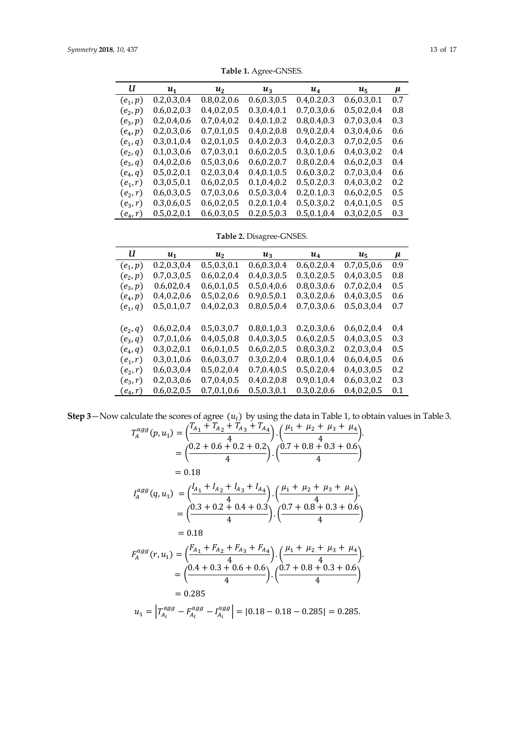| U          | $u_1$         | $u_2$         | $u_3$         | $u_4$         | $u_5$         | $\mu$ |
|------------|---------------|---------------|---------------|---------------|---------------|-------|
| $(e_1,p)$  | 0.2, 0.3, 0.4 | 0.8, 0.2, 0.6 | 0.6, 0.3, 0.5 | 0.4, 0.2, 0.3 | 0.6, 0.3, 0.1 | 0.7   |
| $(e_2, p)$ | 0.6, 0.2, 0.3 | 0.4, 0.2, 0.5 | 0.3, 0.4, 0.1 | 0.7, 0.3, 0.6 | 0.5, 0.2, 0.4 | 0.8   |
| $(e_3, p)$ | 0.2, 0.4, 0.6 | 0.7, 0.4, 0.2 | 0.4, 0.1, 0.2 | 0.8, 0.4, 0.3 | 0.7, 0.3, 0.4 | 0.3   |
| $(e_4, p)$ | 0.2, 0.3, 0.6 | 0.7, 0.1, 0.5 | 0.4, 0.2, 0.8 | 0.9, 0.2, 0.4 | 0.3, 0.4, 0.6 | 0.6   |
| $(e_1, q)$ | 0.3, 0.1, 0.4 | 0.2, 0.1, 0.5 | 0.4, 0.2, 0.3 | 0.4, 0.2, 0.3 | 0.7, 0.2, 0.5 | 0.6   |
| $(e_2, q)$ | 0.1, 0.3, 0.6 | 0.7, 0.3, 0.1 | 0.6, 0.2, 0.5 | 0.3, 0.1, 0.6 | 0.4, 0.3, 0.2 | 0.4   |
| $(e_3, q)$ | 0.4, 0.2, 0.6 | 0.5, 0.3, 0.6 | 0.6, 0.2, 0.7 | 0.8, 0.2, 0.4 | 0.6, 0.2, 0.3 | 0.4   |
| $(e_4, q)$ | 0.5, 0.2, 0.1 | 0.2, 0.3, 0.4 | 0.4, 0.1, 0.5 | 0.6, 0.3, 0.2 | 0.7, 0.3, 0.4 | 0.6   |
| $(e_1,r)$  | 0.3, 0.5, 0.1 | 0.6, 0.2, 0.5 | 0.1, 0.4, 0.2 | 0.5, 0.2, 0.3 | 0.4, 0.3, 0.2 | 0.2   |
| $(e_2,r)$  | 0.6, 0.3, 0.5 | 0.7, 0.3, 0.6 | 0.5, 0.3, 0.4 | 0.2, 0.1, 0.3 | 0.6, 0.2, 0.5 | 0.5   |
| $(e_3, r)$ | 0.3, 0.6, 0.5 | 0.6, 0.2, 0.5 | 0.2, 0.1, 0.4 | 0.5, 0.3, 0.2 | 0.4, 0.1, 0.5 | 0.5   |
| $(e_4,r)$  | 0.5, 0.2, 0.1 | 0.6, 0.3, 0.5 | 0.2, 0.5, 0.3 | 0.5, 0.1, 0.4 | 0.3, 0.2, 0.5 | 0.3   |
|            |               |               |               |               |               |       |

**Table 1.** Agree-GNSES.

**Table 2.** Disagree-GNSES.

| U          | $u_1$         | $u_2$         | $u_3$         | $u_4$         | $u_{5}$       | $\mu$ |
|------------|---------------|---------------|---------------|---------------|---------------|-------|
| $(e_1, p)$ | 0.2, 0.3, 0.4 | 0.5, 0.3, 0.1 | 0.6, 0.3, 0.4 | 0.6, 0.2, 0.4 | 0.7, 0.5, 0.6 | 0.9   |
| $(e_2,p)$  | 0.7, 0.3, 0.5 | 0.6, 0.2, 0.4 | 0.4, 0.3, 0.5 | 0.3, 0.2, 0.5 | 0.4, 0.3, 0.5 | 0.8   |
| $(e_3, p)$ | 0.6, 02, 0.4  | 0.6, 0.1, 0.5 | 0.5, 0.4, 0.6 | 0.8, 0.3, 0.6 | 0.7, 0.2, 0.4 | 0.5   |
| $(e_4, p)$ | 0.4, 0.2, 0.6 | 0.5, 0.2, 0.6 | 0.9, 0.5, 0.1 | 0.3, 0.2, 0.6 | 0.4, 0.3, 0.5 | 0.6   |
| $(e_1, q)$ | 0.5, 0.1, 0.7 | 0.4, 0.2, 0.3 | 0.8, 0.5, 0.4 | 0.7, 0.3, 0.6 | 0.5, 0.3, 0.4 | 0.7   |
|            |               |               |               |               |               |       |
| $(e_2, q)$ | 0.6, 0.2, 0.4 | 0.5, 0.3, 0.7 | 0.8, 0.1, 0.3 | 0.2, 0.3, 0.6 | 0.6, 0.2, 0.4 | 0.4   |
| $(e_3, q)$ | 0.7, 0.1, 0.6 | 0.4, 0.5, 0.8 | 0.4, 0.3, 0.5 | 0.6, 0.2, 0.5 | 0.4, 0.3, 0.5 | 0.3   |
| $(e_4, q)$ | 0.3, 0.2, 0.1 | 0.6, 0.1, 0.5 | 0.6, 0.2, 0.5 | 0.8, 0.3, 0.2 | 0.2, 0.3, 0.4 | 0.5   |
| $(e_1,r)$  | 0.3, 0.1, 0.6 | 0.6, 0.3, 0.7 | 0.3, 0.2, 0.4 | 0.8, 0.1, 0.4 | 0.6, 0.4, 0.5 | 0.6   |
| $(e_2,r)$  | 0.6, 0.3, 0.4 | 0.5, 0.2, 0.4 | 0.7, 0.4, 0.5 | 0.5, 0.2, 0.4 | 0.4, 0.3, 0.5 | 0.2   |
| $(e_3, r)$ | 0.2, 0.3, 0.6 | 0.7, 0.4, 0.5 | 0.4, 0.2, 0.8 | 0.9, 0.1, 0.4 | 0.6, 0.3, 0.2 | 0.3   |
| $(e_4,r)$  | 0.6, 0.2, 0.5 | 0.7, 0.1, 0.6 | 0.5, 0.3, 0.1 | 0.3, 0.2, 0.6 | 0.4, 0.2, 0.5 | 0.1   |

**Step 3—Now calculate the scores of agree**  $(u_i)$  **by using the data in Table 1, to obtain values in Table 3.** 

$$
T_A^{agg}(p, u_1) = \left(\frac{T_{A_1} + T_{A_2} + T_{A_3} + T_{A_4}}{4}\right) \cdot \left(\frac{\mu_1 + \mu_2 + \mu_3 + \mu_4}{4}\right)
$$
  
\n
$$
= \left(\frac{0.2 + 0.6 + 0.2 + 0.2}{4}\right) \cdot \left(\frac{0.7 + 0.8 + 0.3 + 0.6}{4}\right)
$$
  
\n
$$
= 0.18
$$
  
\n
$$
I_A^{agg}(q, u_1) = \left(\frac{I_{A_1} + I_{A_2} + I_{A_3} + I_{A_4}}{4}\right) \cdot \left(\frac{\mu_1 + \mu_2 + \mu_3 + \mu_4}{4}\right)
$$
  
\n
$$
= \left(\frac{0.3 + 0.2 + 0.4 + 0.3}{4}\right) \cdot \left(\frac{0.7 + 0.8 + 0.3 + 0.6}{4}\right)
$$
  
\n
$$
= 0.18
$$
  
\n
$$
F_A^{agg}(r, u_1) = \left(\frac{F_{A_1} + F_{A_2} + F_{A_3} + F_{A_4}}{4}\right) \cdot \left(\frac{\mu_1 + \mu_2 + \mu_3 + \mu_4}{4}\right)
$$
  
\n
$$
= \left(\frac{0.4 + 0.3 + 0.6 + 0.6}{4}\right) \cdot \left(\frac{0.7 + 0.8 + 0.3 + 0.6}{4}\right)
$$
  
\n
$$
= 0.285
$$
  
\n
$$
u_1 = \left|T_{A_i}^{agg} - F_{A_i}^{agg} - I_{A_i}^{agg}\right| = |0.18 - 0.18 - 0.285| = 0.285.
$$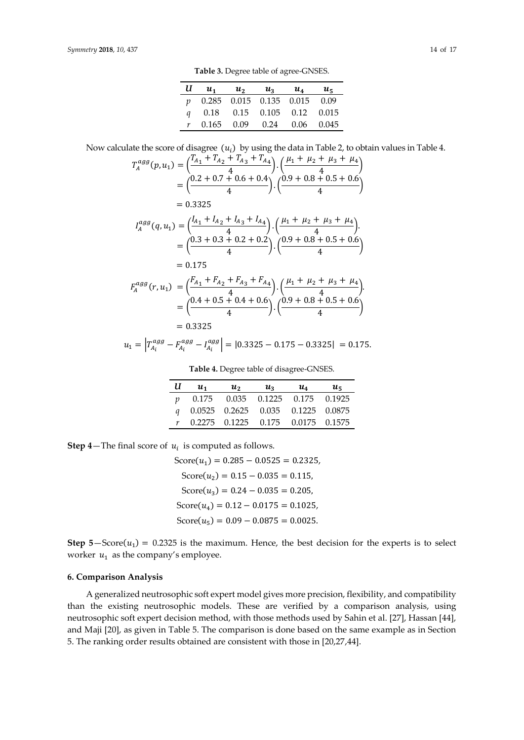**Table 3.** Degree table of agree-GNSES.

| Now calculate the score of disagree $(u_i)$ by using the data in Table 2, to obtain values in Table 4. |  |  |  |  |  |  |  |
|--------------------------------------------------------------------------------------------------------|--|--|--|--|--|--|--|
|--------------------------------------------------------------------------------------------------------|--|--|--|--|--|--|--|

$$
T_A^{agg}(p, u_1) = \left(\frac{T_{A_1} + T_{A_2} + T_{A_3} + T_{A_4}}{4}\right) \cdot \left(\frac{\mu_1 + \mu_2 + \mu_3 + \mu_4}{4}\right)
$$
  
\n
$$
= \left(\frac{0.2 + 0.7 + 0.6 + 0.4}{4}\right) \cdot \left(\frac{0.9 + 0.8 + 0.5 + 0.6}{4}\right)
$$
  
\n
$$
= 0.3325
$$
  
\n
$$
I_A^{agg}(q, u_1) = \left(\frac{l_{A_1} + l_{A_2} + l_{A_3} + l_{A_4}}{4}\right) \cdot \left(\frac{\mu_1 + \mu_2 + \mu_3 + \mu_4}{4}\right)
$$
  
\n
$$
= \left(\frac{0.3 + 0.3 + 0.2 + 0.2}{4}\right) \cdot \left(\frac{0.9 + 0.8 + 0.5 + 0.6}{4}\right)
$$
  
\n
$$
= 0.175
$$
  
\n
$$
F_A^{agg}(r, u_1) = \left(\frac{F_{A_1} + F_{A_2} + F_{A_3} + F_{A_4}}{4}\right) \cdot \left(\frac{\mu_1 + \mu_2 + \mu_3 + \mu_4}{4}\right)
$$
  
\n
$$
= \left(\frac{0.4 + 0.5 + 0.4 + 0.6}{4}\right) \cdot \left(\frac{0.9 + 0.8 + 0.5 + 0.6}{4}\right)
$$
  
\n
$$
= 0.3325
$$

$$
u_1 = \left| T_{A_i}^{agg} - F_{A_i}^{agg} - I_{A_i}^{agg} \right| = \left| 0.3325 - 0.175 - 0.3325 \right| = 0.175.
$$

**Table 4.** Degree table of disagree-GNSES.

| U                | $u_{1}$ | $u_{2}$ | $u_{3}$ | $u_4$                                       | $u_{5}$ |
|------------------|---------|---------|---------|---------------------------------------------|---------|
| $\boldsymbol{v}$ | 0.175   |         |         | 0.035 0.1225 0.175 0.1925                   |         |
| $\mathfrak{a}$   |         |         |         | 0.0525 0.2625 0.035 0.1225 0.0875           |         |
|                  |         |         |         | $0.2275$ $0.1225$ $0.175$ $0.0175$ $0.1575$ |         |

**Step 4—The final score of**  $u_i$  **is computed as follows.** 

```
Score(u_1) = 0.285 - 0.0525 = 0.2325,Score(u_2) = 0.15 - 0.035 = 0.115Score(u_3) = 0.24 - 0.035 = 0.205Score(u_4) = 0.12 - 0.0175 = 0.1025,Score(u_5) = 0.09 - 0.0875 = 0.0025.
```
**Step**  $5 - Score(u_1) = 0.2325$  is the maximum. Hence, the best decision for the experts is to select worker  $u_1$  as the company's employee.

#### **6. Comparison Analysis**

A generalized neutrosophic soft expert model gives more precision, flexibility, and compatibility than the existing neutrosophic models. These are verified by a comparison analysis, using neutrosophic soft expert decision method, with those methods used by Sahin et al. [27], Hassan [44], and Maji [20], as given in Table 5. The comparison is done based on the same example as in Section 5. The ranking order results obtained are consistent with those in [20,27,44].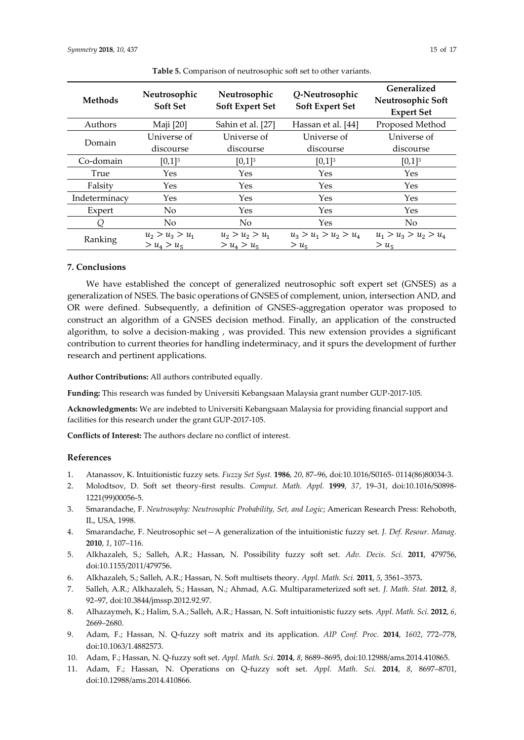| <b>Methods</b> | Neutrosophic<br><b>Soft Set</b> | Neutrosophic<br><b>Soft Expert Set</b> | Q-Neutrosophic<br><b>Soft Expert Set</b> | Generalized<br>Neutrosophic Soft<br><b>Expert Set</b> |  |
|----------------|---------------------------------|----------------------------------------|------------------------------------------|-------------------------------------------------------|--|
| Authors        | Maji [20]                       | Sahin et al. [27]                      | Hassan et al. [44]                       | Proposed Method                                       |  |
| Domain         | Universe of                     | Universe of                            | Universe of                              | Universe of                                           |  |
|                | discourse                       | discourse                              | discourse                                | discourse                                             |  |
| Co-domain      | $[0,1]^{3}$                     | $[0,1]^{3}$                            | $[0,1]^{3}$                              | $[0,1]^{3}$                                           |  |
| True           | Yes                             | Yes                                    | Yes                                      | Yes                                                   |  |
| Falsity        | Yes                             | Yes                                    | Yes                                      | Yes                                                   |  |
| Indeterminacy  | Yes                             | <b>Yes</b>                             | Yes                                      | Yes                                                   |  |
| Expert         | No                              | Yes                                    | Yes                                      | Yes                                                   |  |
| Q              | No                              | No                                     | Yes                                      | No.                                                   |  |
| Ranking        | $u_2 > u_3 > u_1$               | $u_2 > u_2 > u_1$                      | $u_3 > u_1 > u_2 > u_4$                  | $u_1 > u_2 > u_2 > u_4$                               |  |
|                | $> u_4 > u_5$                   | $> u_4 > u_5$                          | > u <sub>5</sub>                         | $> u_{5}$                                             |  |

**Table 5.** Comparison of neutrosophic soft set to other variants.

## **7. Conclusions**

We have established the concept of generalized neutrosophic soft expert set (GNSES) as a generalization of NSES. The basic operations of GNSES of complement, union, intersection AND, and OR were defined. Subsequently, a definition of GNSES-aggregation operator was proposed to construct an algorithm of a GNSES decision method. Finally, an application of the constructed algorithm, to solve a decision-making , was provided. This new extension provides a significant contribution to current theories for handling indeterminacy, and it spurs the development of further research and pertinent applications.

**Author Contributions:** All authors contributed equally.

**Funding:** This research was funded by Universiti Kebangsaan Malaysia grant number GUP-2017-105.

**Acknowledgments:** We are indebted to Universiti Kebangsaan Malaysia for providing financial support and facilities for this research under the grant GUP-2017-105.

**Conflicts of Interest:** The authors declare no conflict of interest.

# **References**

- 1. Atanassov, K. Intuitionistic fuzzy sets. *Fuzzy Set Syst.* **1986**, *20*, 87–96, doi:10.1016/S0165- 0114(86)80034-3.
- 2. Molodtsov, D. Soft set theory-first results. *Comput. Math. Appl.* **1999**, *37*, 19–31, doi[:10.1016/S0898-](https://doi.org/10.1016/S0898-1221(99)00056-5) [1221\(99\)00056-5.](https://doi.org/10.1016/S0898-1221(99)00056-5)
- 3. Smarandache, F. *Neutrosophy: Neutrosophic Probability, Set, and Logic*; American Research Press: Rehoboth, IL, USA, 1998.
- 4. Smarandache, F. Neutrosophic set—A generalization of the intuitionistic fuzzy set. *J. Def. Resour. Manag.* **2010**, *1*, 107–116.
- 5. Alkhazaleh, S.; Salleh, A.R.; Hassan, N. Possibility fuzzy soft set. *Adv. Decis. Sci.* **2011**, 479756, doi:10.1155/2011/479756.
- 6. Alkhazaleh, S.; Salleh, A.R.; Hassan, N. Soft multisets theory. *Appl. Math. Sci.* **2011**, *5*, 3561–3573**.**
- 7. Salleh, A.R.; Alkhazaleh, S.; Hassan, N.; Ahmad, A.G. Multiparameterized soft set. *J. Math. Stat.* **2012**, *8*, 92–97, doi:10.3844/jmssp.2012.92.97.
- 8. Alhazaymeh, K.; Halim, S.A.; Salleh, A.R.; Hassan, N. Soft intuitionistic fuzzy sets. *Appl. Math. Sci.* **2012**, *6*, 2669–2680.
- 9. Adam, F.; Hassan, N. Q-fuzzy soft matrix and its application. *AIP Conf. Proc.* **2014**, *1602*, 772–778, [doi:10.1063/1.4882573.](https://doi.org/10.1063/1.4882573)
- 10. Adam, F.; Hassan, N. Q-fuzzy soft set. *Appl. Math. Sci.* **2014**, *8*, 8689–8695, doi:10.12988/ams.2014.410865.
- 11. Adam, F.; Hassan, N. Operations on Q-fuzzy soft set. *Appl. Math. Sci.* **2014**, *8*, 8697–8701, doi:10.12988/ams.2014.410866.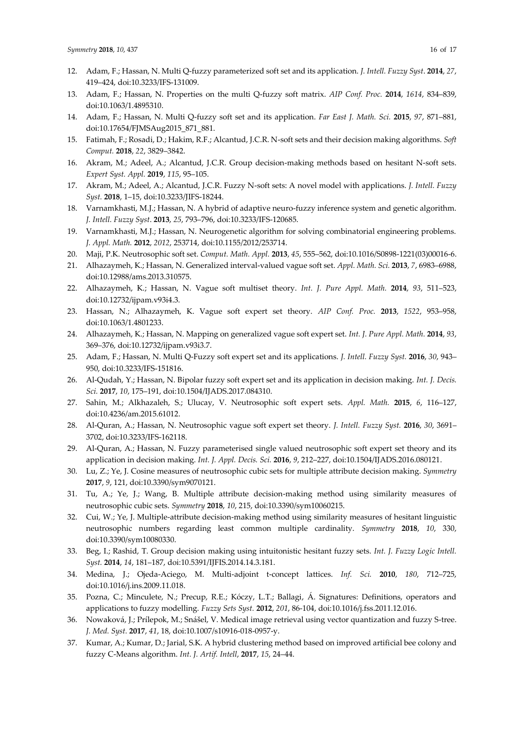- 12. Adam, F.; Hassan, N. Multi Q-fuzzy parameterized soft set and its application. *J. Intell. Fuzzy Syst*. **2014**, *27*, 419–424, doi:10.3233/IFS-131009.
- 13. Adam, F.; Hassan, N. Properties on the multi Q-fuzzy soft matrix. *AIP Conf. Proc.* **2014**, *1614*, 834–839, [doi:10.1063/1.4895310.](https://doi.org/10.1063/1.4895310)
- 14. Adam, F.; Hassan, N. Multi Q-fuzzy soft set and its application. *Far East J. Math. Sci.* **2015**, *97*, 871–881, doi:10.17654/FJMSAug2015\_871\_881.
- 15. Fatimah, F.; Rosadi, D.; Hakim, R.F.; Alcantud, J.C.R. N-soft sets and their decision making algorithms. *Soft Comput.* **2018**, *22*, 3829–3842.
- 16. Akram, M.; Adeel, A.; Alcantud, J.C.R. Group decision-making methods based on hesitant N-soft sets. *Expert Syst. Appl.* **2019**, *115*, 95–105.
- 17. Akram, M.; Adeel, A.; Alcantud, J.C.R. Fuzzy N-soft sets: A novel model with applications. *J. Intell. Fuzzy Syst.* **2018**, 1–15, doi:10.3233/JIFS-18244.
- 18. Varnamkhasti, M.J.; Hassan, N. A hybrid of adaptive neuro-fuzzy inference system and genetic algorithm. *J. Intell. Fuzzy Syst*. **2013**, *25*, 793–796, doi:10.3233/IFS-120685.
- 19. Varnamkhasti, M.J.; Hassan, N. Neurogenetic algorithm for solving combinatorial engineering problems. *J. Appl. Math.* **2012**, *2012*, 253714, [doi:10.1155/2012/253714.](http://dx.doi.org/10.1155/2012/253714)
- 20. Maji, P.K. Neutrosophic soft set. *Comput. Math. Appl.* **2013**, *45*, 555–562, do[i:10.1016/S0898-1221\(03\)00016-6.](http://dx.doi.org/10.1016/S0898-1221(03)00016-6)
- 21. Alhazaymeh, K.; Hassan, N. Generalized interval-valued vague soft set. *Appl. Math. Sci.* **2013**, *7*, 6983–6988, doi:10.12988/ams.2013.310575.
- 22. Alhazaymeh, K.; Hassan, N. Vague soft multiset theory. *Int. J. Pure Appl. Math.* **2014**, *93*, 511–523, doi:10.12732/ijpam.v93i4.3.
- 23. Hassan, N.; Alhazaymeh, K. Vague soft expert set theory. *AIP Conf. Proc.* **2013**, *1522*, 953–958, doi[:10.1063/1.4801233.](https://doi.org/10.1063/1.4801233)
- 24. Alhazaymeh, K.; Hassan, N. Mapping on generalized vague soft expert set. *Int. J. Pure Appl. Math.* **2014**, *93*, 369–376, doi:10.12732/ijpam.v93i3.7.
- 25. Adam, F.; Hassan, N. Multi Q-Fuzzy soft expert set and its applications. *J. Intell. Fuzzy Syst.* **2016**, *30*, 943– 950, doi:10.3233/IFS-151816.
- 26. Al-Qudah, Y.; Hassan, N. Bipolar fuzzy soft expert set and its application in decision making. *Int. J. Decis. Sci.* **2017**, *10*, 175–191, do[i:10.1504/IJADS.2017.084310.](https://doi.org/10.1504/IJADS.2017.084310)
- 27. Sahin, M.; Alkhazaleh, S.; Ulucay, V. Neutrosophic soft expert sets. *Appl. Math.* **2015**, *6*, 116–127, doi[:10.4236/am.2015.61012.](http://dx.doi.org/10.4236/am.2015.61012)
- 28. Al-Quran, A.; Hassan, N. Neutrosophic vague soft expert set theory. *J. Intell. Fuzzy Syst.* **2016**, *30*, 3691– 3702, doi:10.3233/IFS-162118.
- 29. Al-Quran, A.; Hassan, N. Fuzzy parameterised single valued neutrosophic soft expert set theory and its application in decision making. *Int. J. Appl. Decis. Sci.* **2016**, *9*, 212–227, do[i:10.1504/IJADS.2016.080121.](https://doi.org/10.1504/IJADS.2016.080121)
- 30. Lu, Z.; Ye, J. Cosine measures of neutrosophic cubic sets for multiple attribute decision making. *Symmetry*  **2017**, *9*, 121, doi:10.3390/sym9070121.
- 31. Tu, A.; Ye, J.; Wang, B. Multiple attribute decision-making method using similarity measures of neutrosophic cubic sets. *Symmetry* **2018**, *10*, 215, doi:10.3390/sym10060215.
- 32. Cui, W.; Ye, J. Multiple-attribute decision-making method using similarity measures of hesitant linguistic neutrosophic numbers regarding least common multiple cardinality. *Symmetry* **2018**, *10*, 330, doi:10.3390/sym10080330.
- 33. Beg, I.; Rashid, T. Group decision making using intuitonistic hesitant fuzzy sets. *Int. J. Fuzzy Logic Intell. Syst.* **2014**, *14*, 181–187, do[i:10.5391/IJFIS.2014.14.3.181.](http://dx.doi.org/10.5391/IJFIS.2014.14.3.181)
- 34. Medina, J.; Ojeda-Aciego, M. Multi-adjoint t-concept lattices. *Inf. Sci.* **2010**, *180*, 712–725, doi[:10.1016/j.ins.2009.11.018.](https://doi.org/10.1016/j.ins.2009.11.018)
- 35. Pozna, C.; Minculete, N.; Precup, R.E.; Kóczy, L.T.; Ballagi, Á. Signatures: Definitions, operators and applications to fuzzy modelling. *Fuzzy Sets Syst.* **2012**, *201*, 86-104, doi[:10.1016/j.fss.2011.12.016.](https://doi.org/10.1016/j.fss.2011.12.016)
- 36. Nowaková, J.; Prílepok, M.; Snášel, V. Medical image retrieval using vector quantization and fuzzy S-tree. *J. Med. Syst.* **2017**, *41*, 18, do[i:10.1007/s10916-018-0957-y.](https://doi.org/10.1007/s10916-018-0957-y)
- 37. Kumar, A.; Kumar, D.; Jarial, S.K. A hybrid clustering method based on improved artificial bee colony and fuzzy C-Means algorithm. *Int. J. Artif. Intell*, **2017**, *15*, 24–44.